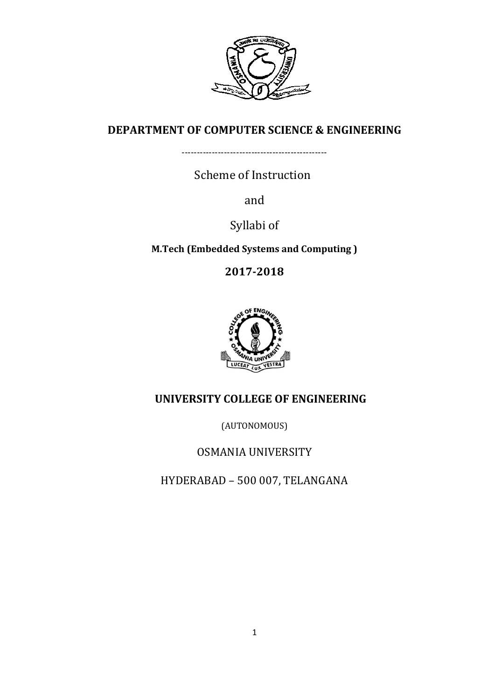

# **DEPARTMENT OF COMPUTER SCIENCE & ENGINEERING**

------------------------------------------------

Scheme of Instruction

and

Syllabi of

**M.Tech (Embedded Systems and Computing )** 

**2017-2018**



# **UNIVERSITY COLLEGE OF ENGINEERING**

(AUTONOMOUS)

OSMANIA UNIVERSITY

HYDERABAD – 500 007, TELANGANA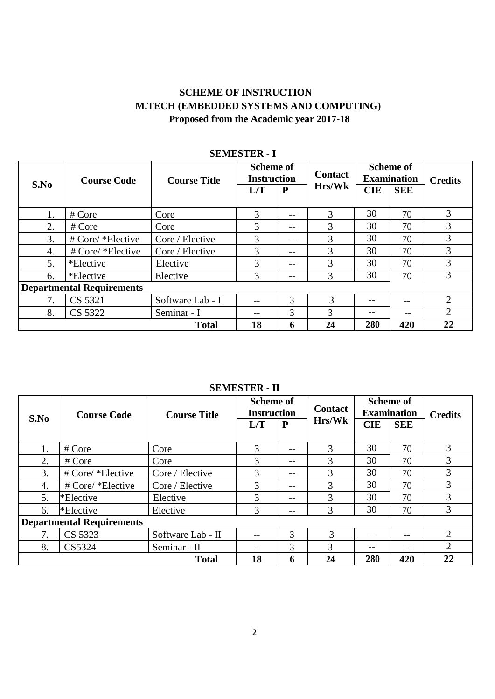# **SCHEME OF INSTRUCTION M.TECH (EMBEDDED SYSTEMS AND COMPUTING) Proposed from the Academic year 2017-18**

| S.No                             | <b>Course Code</b> | <b>Scheme of</b><br><b>Instruction</b><br><b>Course Title</b><br>L/T |    | P              | <b>Contact</b><br>Hrs/Wk |    | <b>Scheme of</b><br><b>Examination</b><br><b>SEE</b> | <b>Credits</b> |
|----------------------------------|--------------------|----------------------------------------------------------------------|----|----------------|--------------------------|----|------------------------------------------------------|----------------|
| 1.                               | # Core             | Core                                                                 | 3  | --             | 3                        | 30 | 70                                                   | 3              |
| 2.                               | # Core             | Core                                                                 | 3  | --             | 3                        | 30 | 70                                                   | 3              |
| 3.                               | # Core/ *Elective  | Core / Elective                                                      | 3  | $- -$          | 3                        | 30 | 70                                                   | 3              |
| 4.                               | # Core/ *Elective  | Core / Elective                                                      | 3  | --             | 3                        | 30 | 70                                                   | 3              |
| 5.                               | *Elective          | Elective                                                             | 3  | --             | 3                        | 30 | 70                                                   | 3              |
| 6.                               | *Elective          | Elective                                                             | 3  | $- -$          | 3                        | 30 | 70                                                   | 3              |
| <b>Departmental Requirements</b> |                    |                                                                      |    |                |                          |    |                                                      |                |
| 7.                               | CS 5321            | Software Lab - I                                                     |    | $\overline{3}$ | 3                        |    | --                                                   | 2              |
| 8.                               | CS 5322            | Seminar - I                                                          | -- | $\overline{3}$ | 3                        |    | --                                                   | $\overline{2}$ |
|                                  | 18                 | 6                                                                    | 24 | 280            | 420                      | 22 |                                                      |                |

# **SEMESTER - I**

#### **SEMESTER - II**

| S.No                             | <b>Course Code</b> | <b>Course Title</b> | <b>Scheme of</b><br><b>Instruction</b> |       | <b>Contact</b> | <b>Scheme of</b><br><b>Examination</b> |            | <b>Credits</b> |
|----------------------------------|--------------------|---------------------|----------------------------------------|-------|----------------|----------------------------------------|------------|----------------|
|                                  |                    |                     | L/T                                    | P     | <b>Hrs/Wk</b>  | <b>CIE</b>                             | <b>SEE</b> |                |
| 1.                               | # Core             | Core                | 3                                      | $- -$ | 3              | 30                                     | 70         | 3              |
| 2.                               | # Core             | Core                | 3                                      | $ -$  | 3              | 30                                     | 70         | 3              |
| 3.                               | # Core/ *Elective  | Core / Elective     | 3                                      | $- -$ | 3              | 30                                     | 70         | 3              |
| 4.                               | # Core/ *Elective  | Core / Elective     | 3                                      | --    | 3              | 30                                     | 70         | 3              |
| 5.                               | *Elective          | Elective            | 3                                      | $ -$  | 3              | 30                                     | 70         | 3              |
| 6.                               | *Elective          | Elective            |                                        | --    | 3              | 30                                     | 70         | 3              |
| <b>Departmental Requirements</b> |                    |                     |                                        |       |                |                                        |            |                |
| 7.                               | CS 5323            | Software Lab - II   | --                                     | 3     | 3              | --                                     | --         | $\overline{2}$ |
| 8.                               | CS5324             | Seminar - II        | $- -$                                  | 3     | $\mathcal{F}$  |                                        | --         | $\overline{2}$ |
|                                  | <b>Total</b>       |                     |                                        | h     | 24             | 280                                    | 420        | 22             |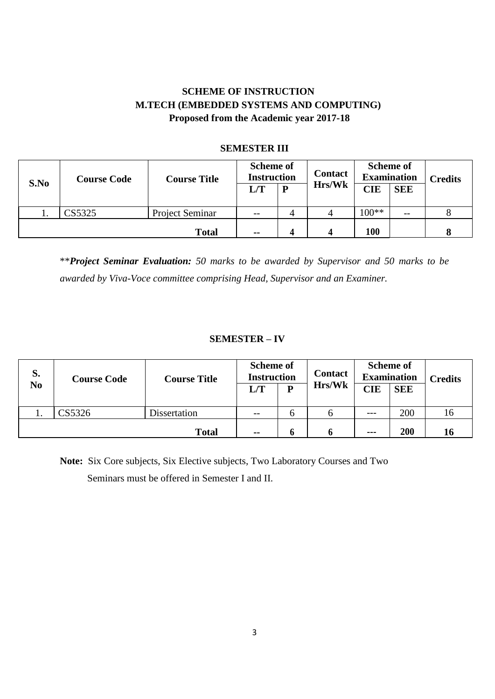# **SCHEME OF INSTRUCTION M.TECH (EMBEDDED SYSTEMS AND COMPUTING) Proposed from the Academic year 2017-18**

| S.No | <b>Course Code</b> | <b>Course Title</b> | <b>Scheme of</b><br><b>Instruction</b><br>L/T | P | <b>Contact</b><br><b>Hrs/Wk</b> | <b>CIE</b> | <b>Scheme of</b><br><b>Examination</b><br><b>SEE</b> | <b>Credits</b> |
|------|--------------------|---------------------|-----------------------------------------------|---|---------------------------------|------------|------------------------------------------------------|----------------|
| ı.   | CS5325             | Project Seminar     | $- -$                                         | 4 |                                 | $100**$    | $- -$                                                |                |
|      |                    | <b>Total</b>        | $- -$                                         |   | Δ                               | 100        |                                                      |                |

#### **SEMESTER III**

\*\**Project Seminar Evaluation: 50 marks to be awarded by Supervisor and 50 marks to be awarded by Viva-Voce committee comprising Head, Supervisor and an Examiner.*

#### **SEMESTER – IV**

| S.             | <b>Course Code</b> | <b>Course Title</b> | <b>Scheme of</b><br><b>Instruction</b> |   | <b>Contact</b> | <b>Scheme of</b><br><b>Examination</b> |            | <b>Credits</b>  |
|----------------|--------------------|---------------------|----------------------------------------|---|----------------|----------------------------------------|------------|-----------------|
| N <sub>0</sub> |                    |                     | L/T                                    | D | Hrs/Wk         | <b>CIE</b>                             | <b>SEE</b> |                 |
|                | CS5326             | Dissertation        | $- -$                                  | O | h              | $- - -$                                | 200        | 16 <sup>1</sup> |
|                |                    | <b>Total</b>        | $- -$                                  |   |                | ---                                    | 200        | 16              |

**Note:** Six Core subjects, Six Elective subjects, Two Laboratory Courses and Two Seminars must be offered in Semester I and II.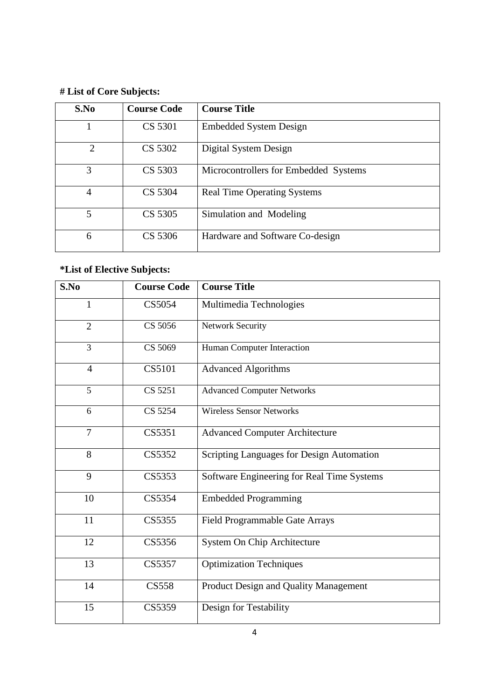# **# List of Core Subjects:**

| S.No           | <b>Course Code</b> | <b>Course Title</b>                   |
|----------------|--------------------|---------------------------------------|
|                | CS 5301            | <b>Embedded System Design</b>         |
| $\overline{2}$ | CS 5302            | Digital System Design                 |
| 3              | CS 5303            | Microcontrollers for Embedded Systems |
| $\overline{4}$ | CS 5304            | <b>Real Time Operating Systems</b>    |
| 5              | CS 5305            | Simulation and Modeling               |
| 6              | CS 5306            | Hardware and Software Co-design       |

# **\*List of Elective Subjects:**

| S.No           | <b>Course Code</b> | <b>Course Title</b>                        |
|----------------|--------------------|--------------------------------------------|
| 1              | CS5054             | Multimedia Technologies                    |
| $\overline{2}$ | CS 5056            | Network Security                           |
| 3              | CS 5069            | Human Computer Interaction                 |
| $\overline{4}$ | CS5101             | <b>Advanced Algorithms</b>                 |
| 5              | CS 5251            | <b>Advanced Computer Networks</b>          |
| 6              | CS 5254            | <b>Wireless Sensor Networks</b>            |
| 7              | CS5351             | <b>Advanced Computer Architecture</b>      |
| 8              | CS5352             | Scripting Languages for Design Automation  |
| 9              | CS5353             | Software Engineering for Real Time Systems |
| 10             | CS5354             | <b>Embedded Programming</b>                |
| 11             | CS5355             | Field Programmable Gate Arrays             |
| 12             | CS5356             | System On Chip Architecture                |
| 13             | CS5357             | <b>Optimization Techniques</b>             |
| 14             | <b>CS558</b>       | Product Design and Quality Management      |
| 15             | CS5359             | Design for Testability                     |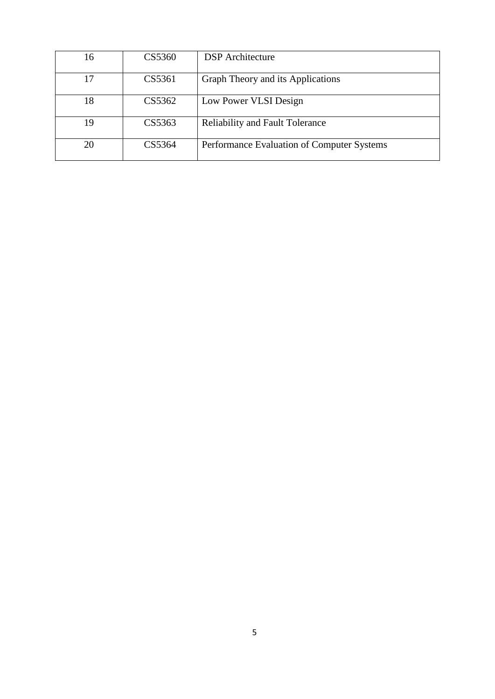| 16 | CS5360 | <b>DSP</b> Architecture                    |
|----|--------|--------------------------------------------|
| 17 | CS5361 | Graph Theory and its Applications          |
| 18 | CS5362 | Low Power VLSI Design                      |
| 19 | CS5363 | <b>Reliability and Fault Tolerance</b>     |
| 20 | CS5364 | Performance Evaluation of Computer Systems |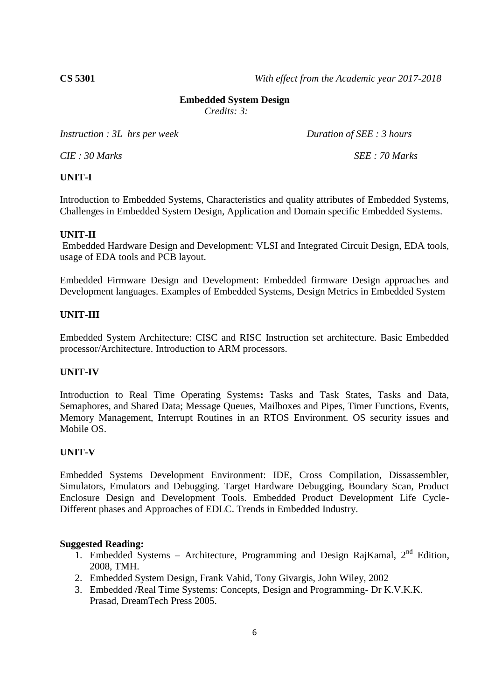**CS 5301** *With effect from the Academic year 2017-2018*

#### **Embedded System Design**

*Credits: 3:*

*Instruction : 3L hrs per week Duration of SEE : 3 hours* 

*CIE : 30 Marks SEE : 70 Marks*

# **UNIT-I**

Introduction to Embedded Systems, Characteristics and quality attributes of Embedded Systems, Challenges in Embedded System Design, Application and Domain specific Embedded Systems.

#### **UNIT-II**

Embedded Hardware Design and Development: VLSI and Integrated Circuit Design, EDA tools, usage of EDA tools and PCB layout.

Embedded Firmware Design and Development: Embedded firmware Design approaches and Development languages. Examples of Embedded Systems, Design Metrics in Embedded System

# **UNIT-III**

Embedded System Architecture: CISC and RISC Instruction set architecture. Basic Embedded processor/Architecture. Introduction to ARM processors.

#### **UNIT-IV**

Introduction to Real Time Operating Systems**:** Tasks and Task States, Tasks and Data, Semaphores, and Shared Data; Message Queues, Mailboxes and Pipes, Timer Functions, Events, Memory Management, Interrupt Routines in an RTOS Environment. OS security issues and Mobile OS.

#### **UNIT-V**

Embedded Systems Development Environment: IDE, Cross Compilation, Dissassembler, Simulators, Emulators and Debugging. Target Hardware Debugging, Boundary Scan, Product Enclosure Design and Development Tools. Embedded Product Development Life Cycle-Different phases and Approaches of EDLC. Trends in Embedded Industry.

- 1. Embedded Systems Architecture, Programming and Design RajKamal,  $2<sup>nd</sup>$  Edition, 2008, TMH.
- 2. Embedded System Design, Frank Vahid, Tony Givargis, John Wiley, 2002
- 3. Embedded /Real Time Systems: Concepts, Design and Programming- Dr K.V.K.K. Prasad, DreamTech Press 2005.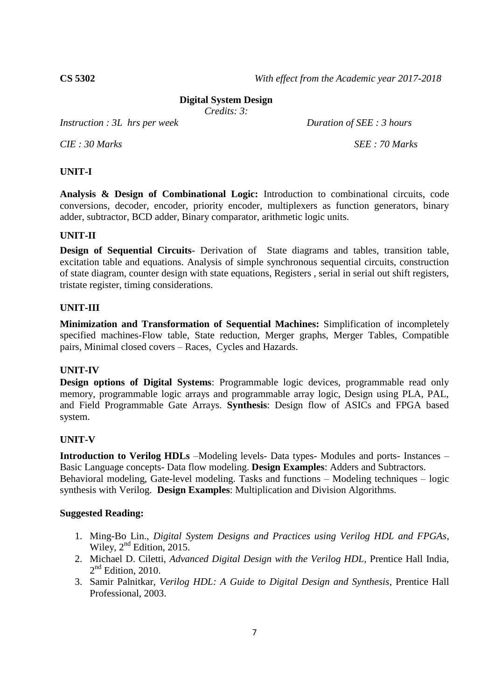#### **Digital System Design**

*Credits: 3:*

*Instruction : 3L hrs per week Duration of SEE : 3 hours* 

*CIE : 30 Marks SEE : 70 Marks*

#### **UNIT-I**

**Analysis & Design of Combinational Logic:** Introduction to combinational circuits, code conversions, decoder, encoder, priority encoder, multiplexers as function generators, binary adder, subtractor, BCD adder, Binary comparator, arithmetic logic units.

#### **UNIT-II**

**Design of Sequential Circuits**- Derivation of State diagrams and tables, transition table, excitation table and equations. Analysis of simple synchronous sequential circuits, construction of state diagram, counter design with state equations, Registers , serial in serial out shift registers, tristate register, timing considerations.

#### **UNIT-III**

**Minimization and Transformation of Sequential Machines:** Simplification of incompletely specified machines-Flow table, State reduction, Merger graphs, Merger Tables, Compatible pairs, Minimal closed covers – Races, Cycles and Hazards.

#### **UNIT-IV**

**Design options of Digital Systems**: Programmable logic devices, programmable read only memory, programmable logic arrays and programmable array logic, Design using PLA, PAL, and Field Programmable Gate Arrays. **Synthesis**: Design flow of ASICs and FPGA based system.

# **UNIT-V**

**Introduction to Verilog HDLs** –Modeling levels- Data types- Modules and ports- Instances – Basic Language concepts- Data flow modeling. **Design Examples**: Adders and Subtractors. Behavioral modeling, Gate-level modeling. Tasks and functions – Modeling techniques – logic synthesis with Verilog. **Design Examples**: Multiplication and Division Algorithms.

- 1. Ming-Bo Lin., *Digital System Designs and Practices using Verilog HDL and FPGAs*, Wiley, 2<sup>nd</sup> Edition, 2015.
- 2. Michael D. Ciletti, *Advanced Digital Design with the Verilog HDL*, Prentice Hall India,  $2<sup>nd</sup>$  Edition, 2010.
- 3. Samir Palnitkar, *Verilog HDL: A Guide to Digital Design and Synthesis*, Prentice Hall Professional, 2003.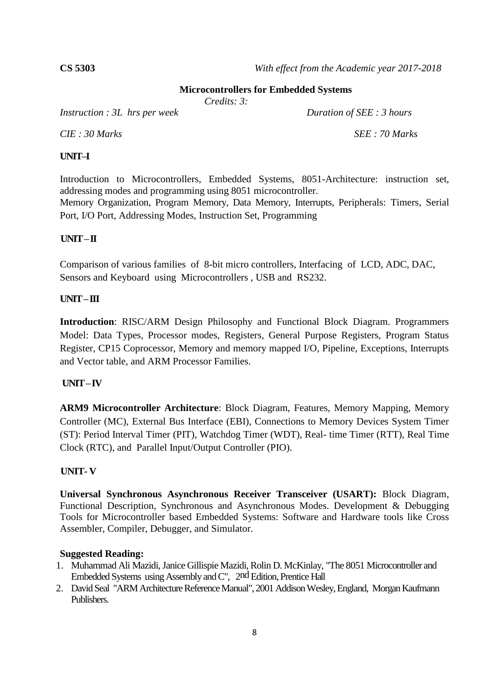#### **Microcontrollers for Embedded Systems**

*Credits: 3:*

*Instruction : 3L hrs per week Duration of SEE : 3 hours*

*CIE : 30 Marks SEE : 70 Marks*

# **UNIT–I**

Introduction to Microcontrollers, Embedded Systems, 8051-Architecture: instruction set, addressing modes and programming using 8051 microcontroller.

Memory Organization, Program Memory, Data Memory, Interrupts, Peripherals: Timers, Serial Port, I/O Port, Addressing Modes, Instruction Set, Programming

# **UNIT –II**

Comparison of various families of 8-bit micro controllers, Interfacing of LCD, ADC, DAC, Sensors and Keyboard using Microcontrollers , USB and RS232.

# **UNIT –III**

**Introduction**: RISC/ARM Design Philosophy and Functional Block Diagram. Programmers Model: Data Types, Processor modes, Registers, General Purpose Registers, Program Status Register, CP15 Coprocessor, Memory and memory mapped I/O, Pipeline, Exceptions, Interrupts and Vector table, and ARM Processor Families.

# **UNIT –IV**

**ARM9 Microcontroller Architecture**: Block Diagram, Features, Memory Mapping, Memory Controller (MC), External Bus Interface (EBI), Connections to Memory Devices System Timer (ST): Period Interval Timer (PIT), Watchdog Timer (WDT), Real- time Timer (RTT), Real Time Clock (RTC), and Parallel Input/Output Controller (PIO).

# **UNIT- V**

**Universal Synchronous Asynchronous Receiver Transceiver (USART):** Block Diagram, Functional Description, Synchronous and Asynchronous Modes. Development & Debugging Tools for Microcontroller based Embedded Systems: Software and Hardware tools like Cross Assembler, Compiler, Debugger, and Simulator.

- 1. Muhammad Ali Mazidi, Janice Gillispie Mazidi, Rolin D. McKinlay, "The 8051 Microcontroller and Embedded Systems using Assembly and C", 2nd Edition, Prentice Hall
- 2. David Seal "ARM Architecture Reference Manual", 2001 Addison Wesley, England, Morgan Kaufmann Publishers.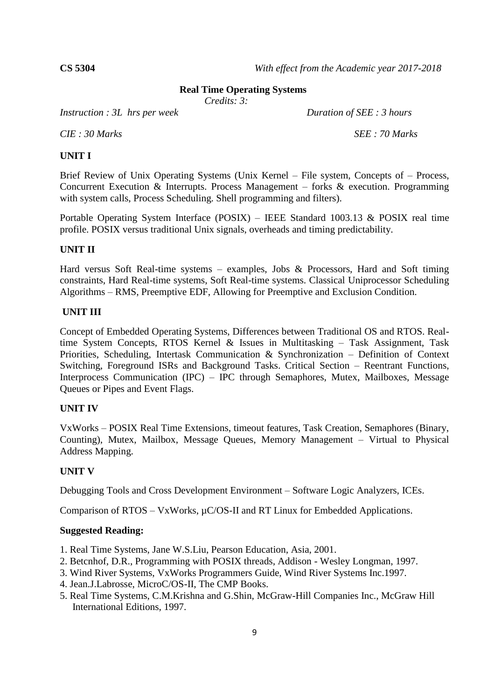**CS 5304** *With effect from the Academic year 2017-2018*

#### **Real Time Operating Systems**

*Credits: 3:*

*Instruction : 3L hrs per week Duration of SEE : 3 hours* 

*CIE : 30 Marks SEE : 70 Marks*

#### **UNIT I**

Brief Review of Unix Operating Systems (Unix Kernel – File system, Concepts of – Process, Concurrent Execution & Interrupts. Process Management – forks & execution. Programming with system calls, Process Scheduling. Shell programming and filters).

Portable Operating System Interface (POSIX) – IEEE Standard 1003.13 & POSIX real time profile. POSIX versus traditional Unix signals, overheads and timing predictability.

# **UNIT II**

Hard versus Soft Real-time systems – examples, Jobs & Processors, Hard and Soft timing constraints, Hard Real-time systems, Soft Real-time systems. Classical Uniprocessor Scheduling Algorithms – RMS, Preemptive EDF, Allowing for Preemptive and Exclusion Condition.

#### **UNIT III**

Concept of Embedded Operating Systems, Differences between Traditional OS and RTOS. Realtime System Concepts, RTOS Kernel & Issues in Multitasking – Task Assignment, Task Priorities, Scheduling, Intertask Communication & Synchronization – Definition of Context Switching, Foreground ISRs and Background Tasks. Critical Section – Reentrant Functions, Interprocess Communication (IPC) – IPC through Semaphores, Mutex, Mailboxes, Message Queues or Pipes and Event Flags.

# **UNIT IV**

VxWorks – POSIX Real Time Extensions, timeout features, Task Creation, Semaphores (Binary, Counting), Mutex, Mailbox, Message Queues, Memory Management – Virtual to Physical Address Mapping.

# **UNIT V**

Debugging Tools and Cross Development Environment – Software Logic Analyzers, ICEs.

Comparison of RTOS – VxWorks,  $\mu$ C/OS-II and RT Linux for Embedded Applications.

- 1. Real Time Systems, Jane W.S.Liu, Pearson Education, Asia, 2001.
- 2. Betcnhof, D.R., Programming with POSIX threads, Addison Wesley Longman, 1997.
- 3. Wind River Systems, VxWorks Programmers Guide, Wind River Systems Inc.1997.
- 4. Jean.J.Labrosse, MicroC/OS-II, The CMP Books.
- 5. Real Time Systems, C.M.Krishna and G.Shin, McGraw-Hill Companies Inc., McGraw Hill International Editions, 1997.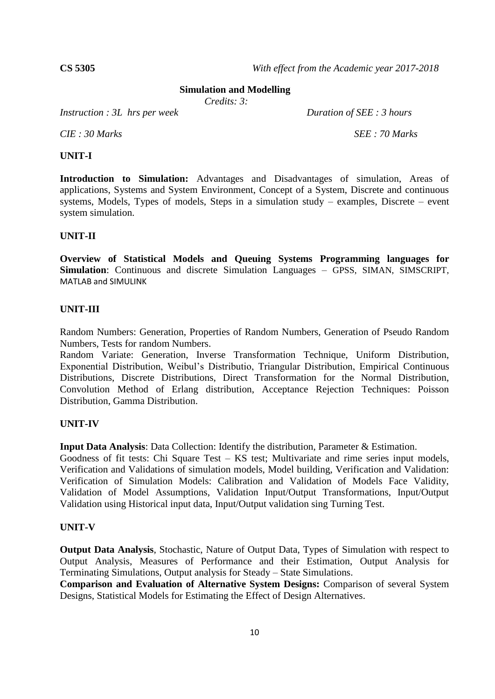**CS 5305** *With effect from the Academic year 2017-2018*

#### **Simulation and Modelling**

*Credits: 3:*

*Instruction : 3L hrs per week Duration of SEE : 3 hours* 

*CIE : 30 Marks SEE : 70 Marks*

#### **UNIT-I**

**Introduction to Simulation:** Advantages and Disadvantages of simulation, Areas of applications, Systems and System Environment, Concept of a System, Discrete and continuous systems, Models, Types of models, Steps in a simulation study – examples, Discrete – event system simulation.

#### **UNIT-II**

**Overview of Statistical Models and Queuing Systems Programming languages for Simulation**: Continuous and discrete Simulation Languages – GPSS, SIMAN, SIMSCRIPT, MATLAB and SIMULINK

#### **UNIT-III**

Random Numbers: Generation, Properties of Random Numbers, Generation of Pseudo Random Numbers, Tests for random Numbers.

Random Variate: Generation, Inverse Transformation Technique, Uniform Distribution, Exponential Distribution, Weibul's Distributio, Triangular Distribution, Empirical Continuous Distributions, Discrete Distributions, Direct Transformation for the Normal Distribution, Convolution Method of Erlang distribution, Acceptance Rejection Techniques: Poisson Distribution, Gamma Distribution.

#### **UNIT-IV**

**Input Data Analysis**: Data Collection: Identify the distribution, Parameter & Estimation.

Goodness of fit tests: Chi Square Test – KS test; Multivariate and rime series input models, Verification and Validations of simulation models, Model building, Verification and Validation: Verification of Simulation Models: Calibration and Validation of Models Face Validity, Validation of Model Assumptions, Validation Input/Output Transformations, Input/Output Validation using Historical input data, Input/Output validation sing Turning Test.

#### **UNIT-V**

**Output Data Analysis**, Stochastic, Nature of Output Data, Types of Simulation with respect to Output Analysis, Measures of Performance and their Estimation, Output Analysis for Terminating Simulations, Output analysis for Steady – State Simulations.

**Comparison and Evaluation of Alternative System Designs:** Comparison of several System Designs, Statistical Models for Estimating the Effect of Design Alternatives.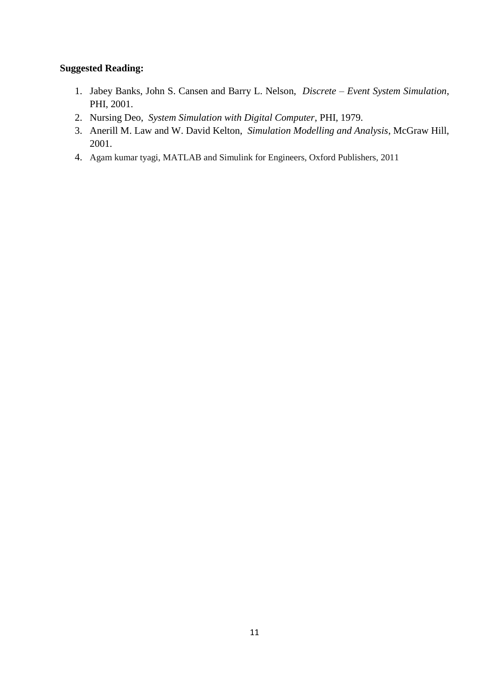- 1. Jabey Banks, John S. Cansen and Barry L. Nelson, *Discrete – Event System Simulation*, PHI, 2001.
- 2. Nursing Deo, *System Simulation with Digital Computer*, PHI, 1979.
- 3. Anerill M. Law and W. David Kelton, *Simulation Modelling and Analysis*, McGraw Hill, 2001.
- 4. Agam kumar tyagi, MATLAB and Simulink for Engineers, Oxford Publishers, 2011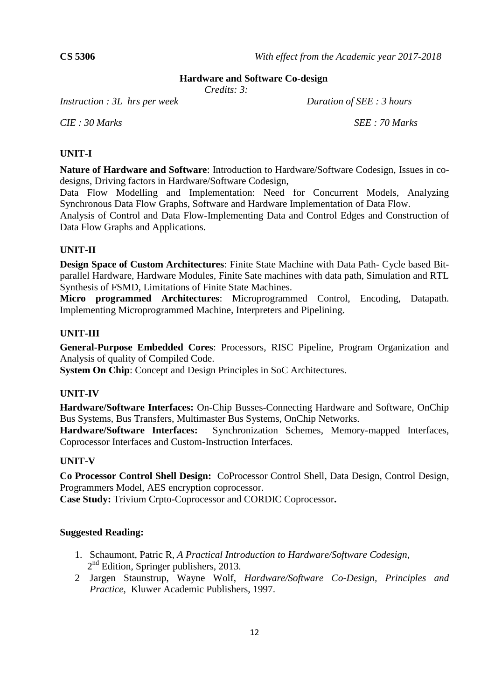# **Hardware and Software Co-design**

*Credits: 3:*

*Instruction : 3L hrs per week Duration of SEE : 3 hours* 

*CIE : 30 Marks SEE : 70 Marks*

#### **UNIT-I**

**Nature of Hardware and Software**: Introduction to Hardware/Software Codesign, Issues in codesigns, Driving factors in Hardware/Software Codesign,

Data Flow Modelling and Implementation: Need for Concurrent Models, Analyzing Synchronous Data Flow Graphs, Software and Hardware Implementation of Data Flow.

Analysis of Control and Data Flow-Implementing Data and Control Edges and Construction of Data Flow Graphs and Applications.

#### **UNIT-II**

**Design Space of Custom Architectures**: Finite State Machine with Data Path- Cycle based Bitparallel Hardware, Hardware Modules, Finite Sate machines with data path, Simulation and RTL Synthesis of FSMD, Limitations of Finite State Machines.

**Micro programmed Architectures**: Microprogrammed Control, Encoding, Datapath. Implementing Microprogrammed Machine, Interpreters and Pipelining.

#### **UNIT-III**

**General-Purpose Embedded Cores**: Processors, RISC Pipeline, Program Organization and Analysis of quality of Compiled Code.

**System On Chip**: Concept and Design Principles in SoC Architectures.

#### **UNIT-IV**

**Hardware/Software Interfaces:** On-Chip Busses-Connecting Hardware and Software, OnChip Bus Systems, Bus Transfers, Multimaster Bus Systems, OnChip Networks.

**Hardware/Software Interfaces:** Synchronization Schemes, Memory-mapped Interfaces, Coprocessor Interfaces and Custom-Instruction Interfaces.

#### **UNIT-V**

**Co Processor Control Shell Design:** CoProcessor Control Shell, Data Design, Control Design, Programmers Model, AES encryption coprocessor.

**Case Study:** Trivium Crpto-Coprocessor and CORDIC Coprocessor**.**

- 1. Schaumont, Patric R, *A Practical Introduction to Hardware/Software Codesign*, 2<sup>nd</sup> Edition, Springer publishers, 2013.
- 2 Jargen Staunstrup, Wayne Wolf, *Hardware/Software Co-Design, Principles and Practice*, Kluwer Academic Publishers, 1997.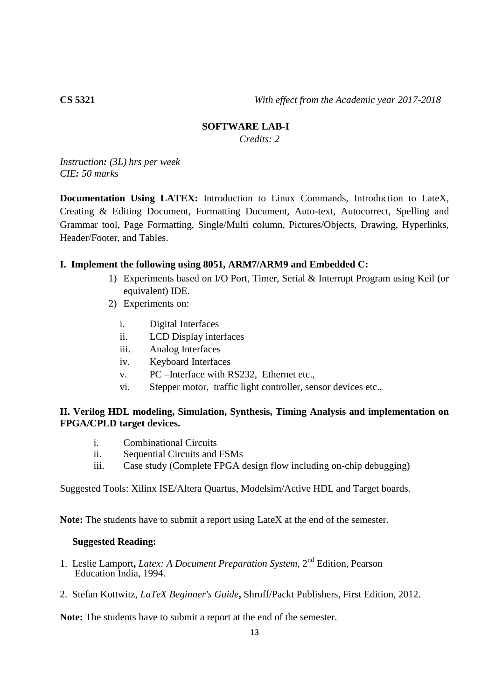#### **SOFTWARE LAB-I**

*Credits: 2*

*Instruction: (3L) hrs per week CIE: 50 marks*

**Documentation Using LATEX:** Introduction to Linux Commands, Introduction to LateX, Creating & Editing Document, Formatting Document, Auto-text, Autocorrect, Spelling and Grammar tool, Page Formatting, Single/Multi column, Pictures/Objects, Drawing, Hyperlinks, Header/Footer, and Tables.

#### **I. Implement the following using 8051, ARM7/ARM9 and Embedded C:**

- 1) Experiments based on I/O Port, Timer, Serial & Interrupt Program using Keil (or equivalent) IDE.
- 2) Experiments on:
	- i. Digital Interfaces
	- ii. LCD Display interfaces
	- iii. Analog Interfaces
	- iv. Keyboard Interfaces
	- v. PC –Interface with RS232, Ethernet etc.,
	- vi. Stepper motor, traffic light controller, sensor devices etc.,

#### **II. Verilog HDL modeling, Simulation, Synthesis, Timing Analysis and implementation on FPGA/CPLD target devices.**

- i. Combinational Circuits
- ii. Sequential Circuits and FSMs
- iii. Case study (Complete FPGA design flow including on-chip debugging)

Suggested Tools: Xilinx ISE/Altera Quartus, Modelsim/Active HDL and Target boards.

**Note:** The students have to submit a report using LateX at the end of the semester.

#### **Suggested Reading:**

- 1. Leslie Lamport, *Latex: A Document Preparation System*, 2<sup>nd</sup> Edition, Pearson Education India, 1994.
- 2. Stefan Kottwitz, *LaTeX Beginner's Guide***,** Shroff/Packt Publishers, First Edition, 2012.

**Note:** The students have to submit a report at the end of the semester.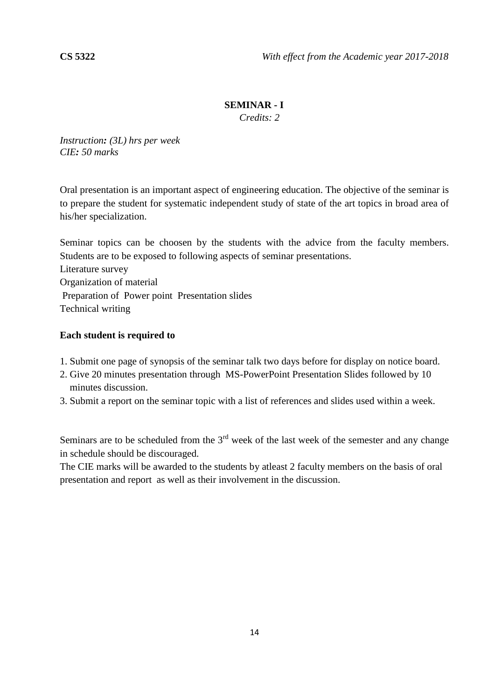# **SEMINAR - I**

*Credits: 2*

*Instruction: (3L) hrs per week CIE: 50 marks*

Oral presentation is an important aspect of engineering education. The objective of the seminar is to prepare the student for systematic independent study of state of the art topics in broad area of his/her specialization.

Seminar topics can be choosen by the students with the advice from the faculty members. Students are to be exposed to following aspects of seminar presentations.

Literature survey Organization of material Preparation of Power point Presentation slides Technical writing

# **Each student is required to**

- 1. Submit one page of synopsis of the seminar talk two days before for display on notice board.
- 2. Give 20 minutes presentation through MS-PowerPoint Presentation Slides followed by 10 minutes discussion.
- 3. Submit a report on the seminar topic with a list of references and slides used within a week.

Seminars are to be scheduled from the  $3<sup>rd</sup>$  week of the last week of the semester and any change in schedule should be discouraged.

The CIE marks will be awarded to the students by atleast 2 faculty members on the basis of oral presentation and report as well as their involvement in the discussion.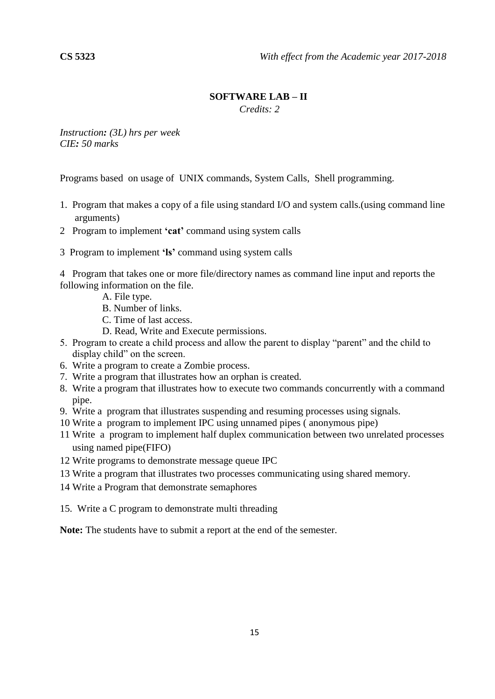# **SOFTWARE LAB – II**

*Credits: 2*

*Instruction: (3L) hrs per week CIE: 50 marks*

Programs based on usage of UNIX commands, System Calls, Shell programming.

- 1. Program that makes a copy of a file using standard I/O and system calls.(using command line arguments)
- 2 Program to implement **'cat'** command using system calls
- 3 Program to implement **'ls'** command using system calls

4 Program that takes one or more file/directory names as command line input and reports the following information on the file.

- A. File type.
- B. Number of links.
- C. Time of last access.
- D. Read, Write and Execute permissions.
- 5. Program to create a child process and allow the parent to display "parent" and the child to display child" on the screen.
- 6. Write a program to create a Zombie process.
- 7. Write a program that illustrates how an orphan is created.
- 8. Write a program that illustrates how to execute two commands concurrently with a command pipe.
- 9. Write a program that illustrates suspending and resuming processes using signals.
- 10 Write a program to implement IPC using unnamed pipes ( anonymous pipe)
- 11 Write a program to implement half duplex communication between two unrelated processes using named pipe(FIFO)
- 12 Write programs to demonstrate message queue IPC
- 13 Write a program that illustrates two processes communicating using shared memory.
- 14 Write a Program that demonstrate semaphores
- 15. Write a C program to demonstrate multi threading

**Note:** The students have to submit a report at the end of the semester.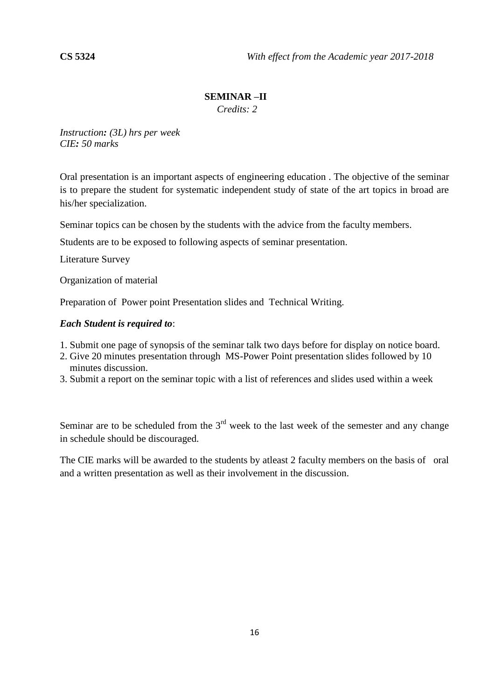# **SEMINAR –II**

 *Credits: 2*

*Instruction: (3L) hrs per week CIE: 50 marks*

Oral presentation is an important aspects of engineering education . The objective of the seminar is to prepare the student for systematic independent study of state of the art topics in broad are his/her specialization.

Seminar topics can be chosen by the students with the advice from the faculty members.

Students are to be exposed to following aspects of seminar presentation.

Literature Survey

Organization of material

Preparation of Power point Presentation slides and Technical Writing.

#### *Each Student is required to*:

- 1. Submit one page of synopsis of the seminar talk two days before for display on notice board.
- 2. Give 20 minutes presentation through MS-Power Point presentation slides followed by 10 minutes discussion.
- 3. Submit a report on the seminar topic with a list of references and slides used within a week

Seminar are to be scheduled from the  $3<sup>rd</sup>$  week to the last week of the semester and any change in schedule should be discouraged.

The CIE marks will be awarded to the students by atleast 2 faculty members on the basis of oral and a written presentation as well as their involvement in the discussion.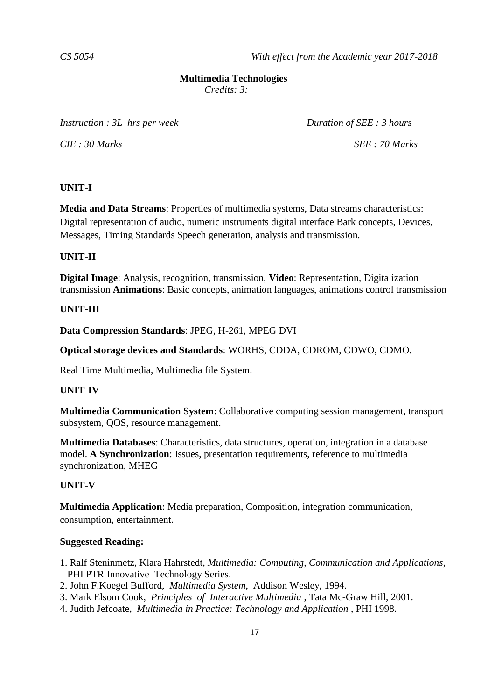#### **Multimedia Technologies**

*Credits: 3:*

*Instruction : 3L hrs per week Duration of SEE : 3 hours* 

*CIE : 30 Marks SEE : 70 Marks*

#### **UNIT-I**

**Media and Data Streams**: Properties of multimedia systems, Data streams characteristics: Digital representation of audio, numeric instruments digital interface Bark concepts, Devices, Messages, Timing Standards Speech generation, analysis and transmission.

# **UNIT-II**

**Digital Image**: Analysis, recognition, transmission, **Video**: Representation, Digitalization transmission **Animations**: Basic concepts, animation languages, animations control transmission

#### **UNIT-III**

**Data Compression Standards**: JPEG, H-261, MPEG DVI

**Optical storage devices and Standards**: WORHS, CDDA, CDROM, CDWO, CDMO.

Real Time Multimedia, Multimedia file System.

#### **UNIT-IV**

**Multimedia Communication System**: Collaborative computing session management, transport subsystem, QOS, resource management.

**Multimedia Databases**: Characteristics, data structures, operation, integration in a database model. **A Synchronization**: Issues, presentation requirements, reference to multimedia synchronization, MHEG

#### **UNIT-V**

**Multimedia Application**: Media preparation, Composition, integration communication, consumption, entertainment.

- 1. Ralf Steninmetz, Klara Hahrstedt, *Multimedia: Computing, Communication and Applications,*  PHI PTR Innovative Technology Series.
- 2. John F.Koegel Bufford, *Multimedia System*, Addison Wesley, 1994.
- 3. Mark Elsom Cook, *Principles of Interactive Multimedia* , Tata Mc-Graw Hill, 2001.
- 4. Judith Jefcoate, *Multimedia in Practice: Technology and Application* , PHI 1998.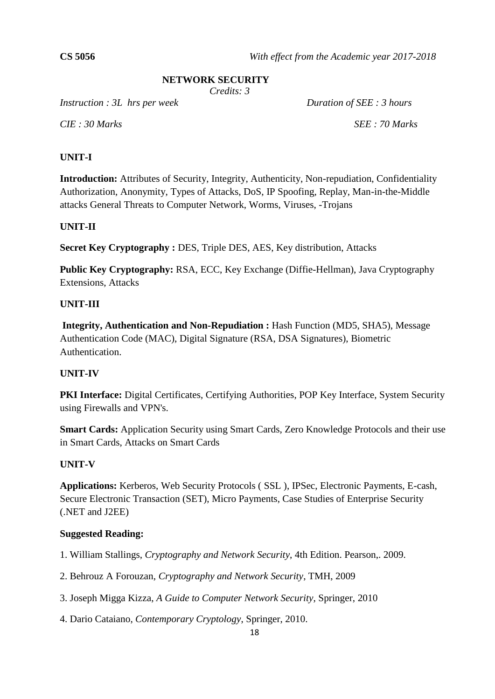# **NETWORK SECURITY**

*Credits: 3*

*Instruction : 3L hrs per week Duration of SEE : 3 hours*

*CIE : 30 Marks SEE : 70 Marks*

# **UNIT-I**

**Introduction:** Attributes of Security, Integrity, Authenticity, Non-repudiation, Confidentiality Authorization, Anonymity, Types of Attacks, DoS, IP Spoofing, Replay, Man-in-the-Middle attacks General Threats to Computer Network, Worms, Viruses, -Trojans

# **UNIT-II**

**Secret Key Cryptography :** DES, Triple DES, AES, Key distribution, Attacks

**Public Key Cryptography:** RSA, ECC, Key Exchange (Diffie-Hellman), Java Cryptography Extensions, Attacks

# **UNIT-III**

**Integrity, Authentication and Non-Repudiation :** Hash Function (MD5, SHA5), Message Authentication Code (MAC), Digital Signature (RSA, DSA Signatures), Biometric Authentication.

# **UNIT-IV**

**PKI Interface:** Digital Certificates, Certifying Authorities, POP Key Interface, System Security using Firewalls and VPN's.

**Smart Cards:** Application Security using Smart Cards, Zero Knowledge Protocols and their use in Smart Cards, Attacks on Smart Cards

# **UNIT-V**

**Applications:** Kerberos, Web Security Protocols ( SSL ), IPSec, Electronic Payments, E-cash, Secure Electronic Transaction (SET), Micro Payments, Case Studies of Enterprise Security (.NET and J2EE)

- 1. William Stallings, *Cryptography and Network Security*, 4th Edition. Pearson,. 2009.
- 2. Behrouz A Forouzan, *Cryptography and Network Security*, TMH, 2009
- 3. Joseph Migga Kizza, *A Guide to Computer Network Security*, Springer, 2010
- 4. Dario Cataiano, *Contemporary Cryptology*, Springer, 2010.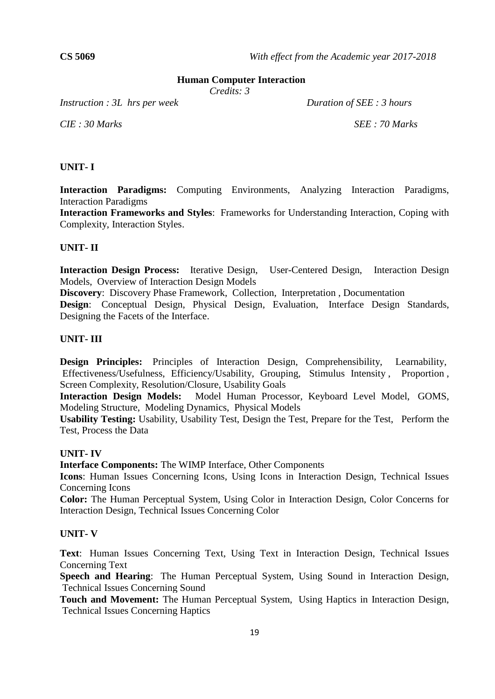#### **Human Computer Interaction**

*Credits: 3*

*Instruction : 3L hrs per week Duration of SEE : 3 hours*

*CIE : 30 Marks SEE : 70 Marks*

#### **UNIT- I**

**Interaction Paradigms:** Computing Environments, Analyzing Interaction Paradigms, Interaction Paradigms

**Interaction Frameworks and Styles**: Frameworks for Understanding Interaction, Coping with Complexity, Interaction Styles.

#### **UNIT- II**

**Interaction Design Process:** Iterative Design, User-Centered Design, Interaction Design Models, Overview of Interaction Design Models

**Discovery**: Discovery Phase Framework, Collection, Interpretation , Documentation

**Design**: Conceptual Design, Physical Design, Evaluation, Interface Design Standards, Designing the Facets of the Interface.

#### **UNIT- III**

**Design Principles:** Principles of Interaction Design, Comprehensibility, Learnability, Effectiveness/Usefulness, Efficiency/Usability, Grouping, Stimulus Intensity , Proportion , Screen Complexity, Resolution/Closure, Usability Goals

**Interaction Design Models:** Model Human Processor, Keyboard Level Model, GOMS, Modeling Structure, Modeling Dynamics, Physical Models

**Usability Testing:** Usability, Usability Test, Design the Test, Prepare for the Test, Perform the Test, Process the Data

#### **UNIT- IV**

**Interface Components:** The WIMP Interface, Other Components

**Icons**: Human Issues Concerning Icons, Using Icons in Interaction Design, Technical Issues Concerning Icons

**Color:** The Human Perceptual System, Using Color in Interaction Design, Color Concerns for Interaction Design, Technical Issues Concerning Color

# **UNIT- V**

**Text**: Human Issues Concerning Text, Using Text in Interaction Design, Technical Issues Concerning Text

**Speech and Hearing**: The Human Perceptual System, Using Sound in Interaction Design, Technical Issues Concerning Sound

**Touch and Movement:** The Human Perceptual System, Using Haptics in Interaction Design, Technical Issues Concerning Haptics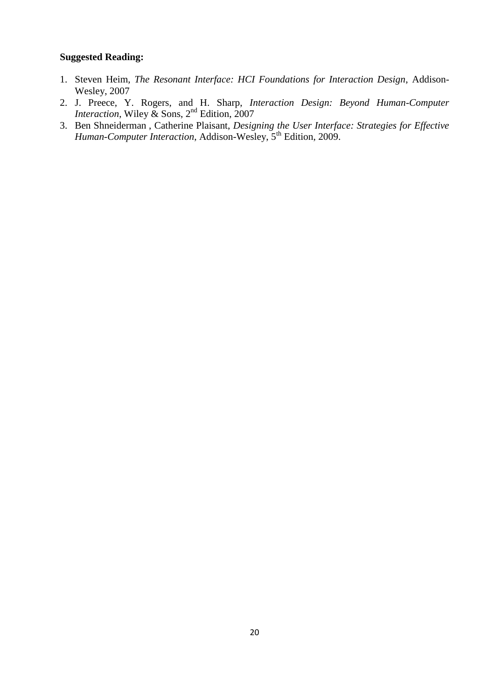- 1. Steven Heim, *The Resonant Interface: HCI Foundations for Interaction Design*, Addison-Wesley, 2007
- 2. J. Preece, Y. Rogers, and H. Sharp, *Interaction Design: Beyond Human-Computer Interaction*, Wiley & Sons, 2nd Edition, 2007
- 3. [Ben Shneiderman](http://www.pearson.ch/autor/24454/Ben-Shneiderman.aspx) , [Catherine Plaisant,](http://www.pearson.ch/autor/38094/Catherine-Plaisant.aspx) *Designing the User Interface: Strategies for Effective Human-Computer Interaction*, Addison-Wesley, 5th Edition, 2009.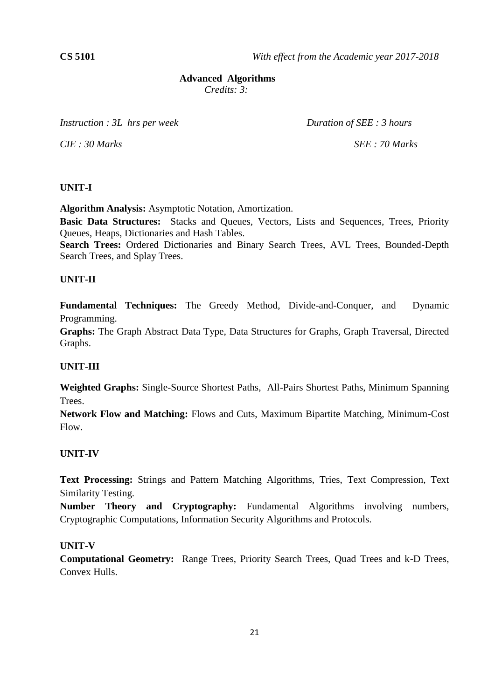#### **Advanced Algorithms**

*Credits: 3:*

*Instruction : 3L hrs per week Duration of SEE : 3 hours* 

*CIE : 30 Marks SEE : 70 Marks*

#### **UNIT-I**

**Algorithm Analysis:** Asymptotic Notation, Amortization.

**Basic Data Structures:** Stacks and Queues, Vectors, Lists and Sequences, Trees, Priority Queues, Heaps, Dictionaries and Hash Tables.

**Search Trees:** Ordered Dictionaries and Binary Search Trees, AVL Trees, Bounded-Depth Search Trees, and Splay Trees.

#### **UNIT-II**

**Fundamental Techniques:** The Greedy Method, Divide-and-Conquer, and Dynamic Programming.

**Graphs:** The Graph Abstract Data Type, Data Structures for Graphs, Graph Traversal, Directed Graphs.

# **UNIT-III**

**Weighted Graphs:** Single-Source Shortest Paths, All-Pairs Shortest Paths, Minimum Spanning Trees.

**Network Flow and Matching:** Flows and Cuts, Maximum Bipartite Matching, Minimum-Cost Flow.

# **UNIT-IV**

**Text Processing:** Strings and Pattern Matching Algorithms, Tries, Text Compression, Text Similarity Testing.

**Number Theory and Cryptography:** Fundamental Algorithms involving numbers, Cryptographic Computations, Information Security Algorithms and Protocols.

#### **UNIT-V**

**Computational Geometry:** Range Trees, Priority Search Trees, Quad Trees and k-D Trees, Convex Hulls.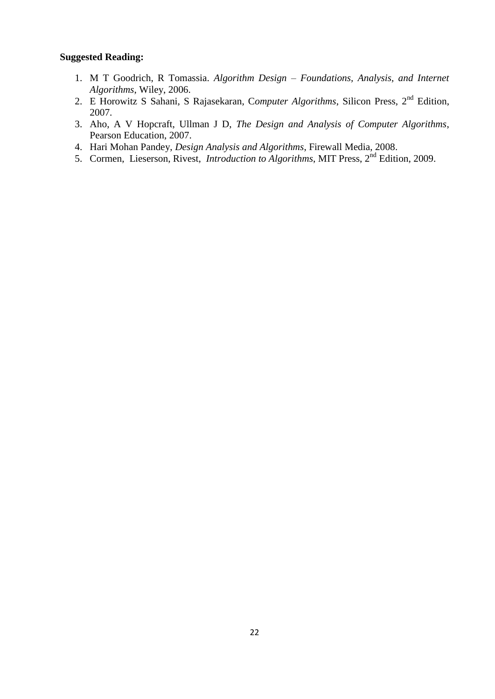- 1. M T Goodrich, R Tomassia. *Algorithm Design – Foundations, Analysis, and Internet Algorithms*, Wiley, 2006.
- 2. E Horowitz S Sahani, S Rajasekaran, C*omputer Algorithms*, Silicon Press, 2nd Edition, 2007.
- 3. Aho, A V Hopcraft, Ullman J D, *The Design and Analysis of Computer Algorithms*, Pearson Education, 2007.
- 4. Hari Mohan Pandey, *Design Analysis and Algorithms*, Firewall Media, 2008.
- 5. Cormen, Lieserson, Rivest, *Introduction to Algorithms*, MIT Press, 2<sup>nd</sup> Edition, 2009.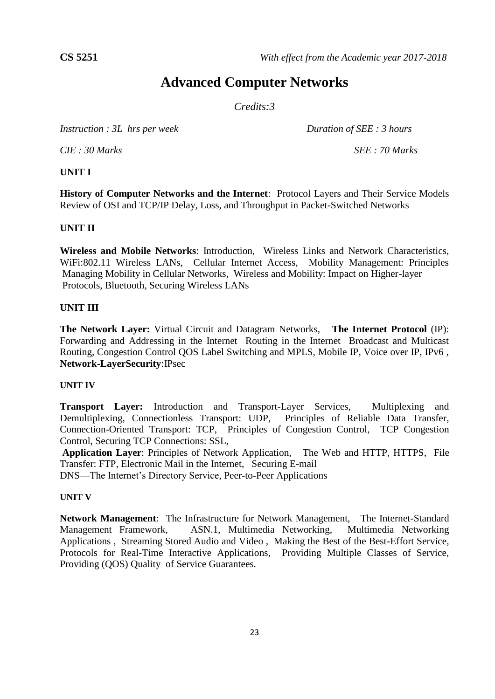# **Advanced Computer Networks**

*Credits:3*

*Instruction : 3L hrs per week Duration of SEE : 3 hours* 

*CIE : 30 Marks SEE : 70 Marks*

# **UNIT I**

**History of Computer Networks and the Internet**: Protocol Layers and Their Service Models Review of OSI and TCP/IP Delay, Loss, and Throughput in Packet-Switched Networks

# **UNIT II**

 **Wireless and Mobile Networks**: Introduction, Wireless Links and Network Characteristics, WiFi:802.11 Wireless LANs, Cellular Internet Access, Mobility Management: Principles Managing Mobility in Cellular Networks, Wireless and Mobility: Impact on Higher-layer Protocols, Bluetooth, Securing Wireless LANs

#### **UNIT III**

**The Network Layer:** Virtual Circuit and Datagram Networks, **The Internet Protocol** (IP): Forwarding and Addressing in the Internet Routing in the Internet Broadcast and Multicast Routing, Congestion Control QOS Label Switching and MPLS, Mobile IP, Voice over IP, IPv6 , **Network-LayerSecurity**:IPsec

#### **UNIT IV**

**Transport Layer:** Introduction and Transport-Layer Services, Multiplexing and Demultiplexing, Connectionless Transport: UDP, Principles of Reliable Data Transfer, Connection-Oriented Transport: TCP, Principles of Congestion Control, TCP Congestion Control, Securing TCP Connections: SSL,

**Application Layer**: Principles of Network Application, The Web and HTTP, HTTPS, File Transfer: FTP, Electronic Mail in the Internet, Securing E-mail

DNS—The Internet's Directory Service, Peer-to-Peer Applications

#### **UNIT V**

**Network Management**: The Infrastructure for Network Management, The Internet-Standard Management Framework, ASN.1, Multimedia Networking, Multimedia Networking Applications , Streaming Stored Audio and Video , Making the Best of the Best-Effort Service, Protocols for Real-Time Interactive Applications, Providing Multiple Classes of Service, Providing (QOS) Quality of Service Guarantees.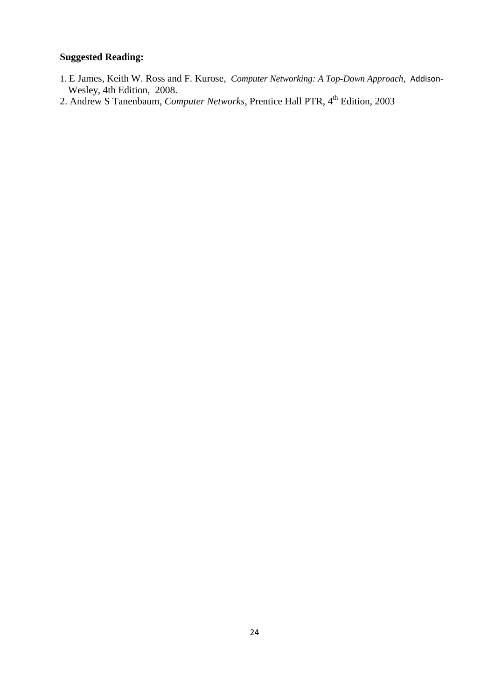- 1. E James, Keith W. Ross and F. Kurose, *Computer Networking: A Top-Down Approach*, Addison- Wesley, 4th Edition, 2008.
- 2. Andrew S Tanenbaum, *Computer Networks*, Prentice Hall PTR, 4<sup>th</sup> Edition, 2003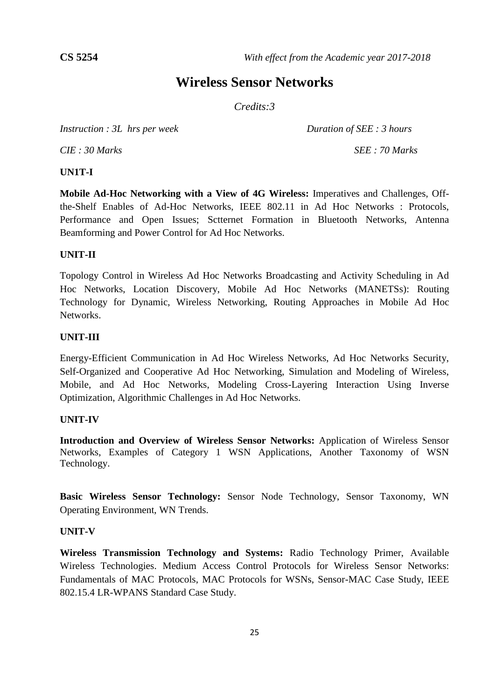# **Wireless Sensor Networks**

*Credits:3*

*Instruction : 3L hrs per week Duration of SEE : 3 hours* 

*CIE : 30 Marks SEE : 70 Marks*

#### **UN1T-I**

**Mobile Ad-Hoc Networking with a View of 4G Wireless:** Imperatives and Challenges, Offthe-Shelf Enables of Ad-Hoc Networks, IEEE 802.11 in Ad Hoc Networks : Protocols, Performance and Open Issues; Sctternet Formation in Bluetooth Networks, Antenna Beamforming and Power Control for Ad Hoc Networks.

#### **UNIT-II**

Topology Control in Wireless Ad Hoc Networks Broadcasting and Activity Scheduling in Ad Hoc Networks, Location Discovery, Mobile Ad Hoc Networks (MANETSs): Routing Technology for Dynamic, Wireless Networking, Routing Approaches in Mobile Ad Hoc Networks.

#### **UNIT-III**

Energy-Efficient Communication in Ad Hoc Wireless Networks, Ad Hoc Networks Security, Self-Organized and Cooperative Ad Hoc Networking, Simulation and Modeling of Wireless, Mobile, and Ad Hoc Networks, Modeling Cross-Layering Interaction Using Inverse Optimization, Algorithmic Challenges in Ad Hoc Networks.

# **UNIT-IV**

**Introduction and Overview of Wireless Sensor Networks:** Application of Wireless Sensor Networks, Examples of Category 1 WSN Applications, Another Taxonomy of WSN Technology.

**Basic Wireless Sensor Technology:** Sensor Node Technology, Sensor Taxonomy, WN Operating Environment, WN Trends.

#### **UNIT-V**

**Wireless Transmission Technology and Systems:** Radio Technology Primer, Available Wireless Technologies. Medium Access Control Protocols for Wireless Sensor Networks: Fundamentals of MAC Protocols, MAC Protocols for WSNs, Sensor-MAC Case Study, IEEE 802.15.4 LR-WPANS Standard Case Study.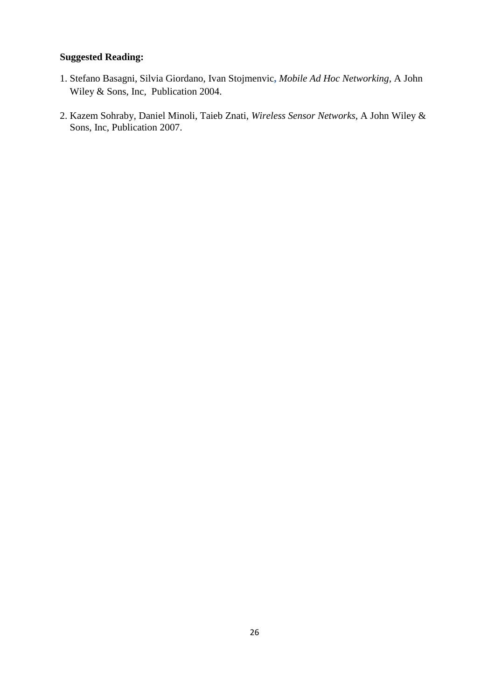- 1. Stefano Basagni, Silvia Giordano, Ivan Stojmenvic**,** *Mobile Ad Hoc Networking,* A John Wiley & Sons, Inc, Publication 2004.
- 2. Kazem Sohraby, Daniel Minoli, Taieb Znati, *Wireless Sensor Networks*, A John Wiley & Sons, Inc, Publication 2007.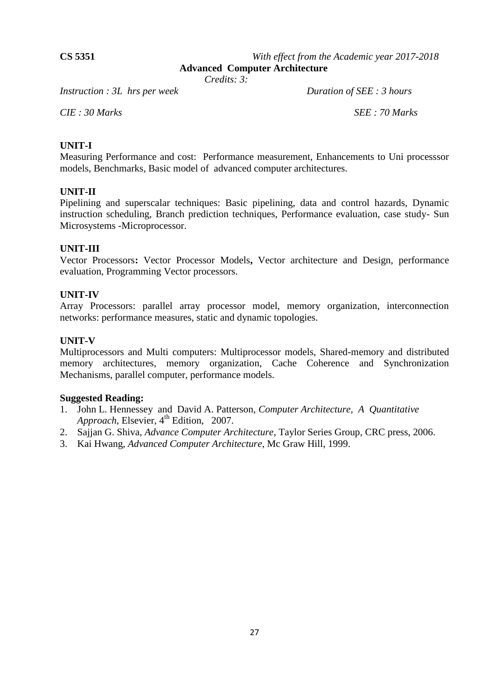**CS 5351** *With effect from the Academic year 2017-2018*

 **Advanced Computer Architecture**

*Credits: 3:*

*Instruction : 3L hrs per week Duration of SEE : 3 hours* 

*CIE : 30 Marks SEE : 70 Marks*

# **UNIT-I**

Measuring Performance and cost: Performance measurement, Enhancements to Uni processsor models, Benchmarks, Basic model of advanced computer architectures.

#### **UNIT-II**

Pipelining and superscalar techniques: Basic pipelining, data and control hazards, Dynamic instruction scheduling, Branch prediction techniques, Performance evaluation, case study- Sun Microsystems -Microprocessor.

#### **UNIT-III**

Vector Processors**:** Vector Processor Models**,** Vector architecture and Design, performance evaluation, Programming Vector processors.

#### **UNIT-IV**

Array Processors: parallel array processor model, memory organization, interconnection networks: performance measures, static and dynamic topologies.

#### **UNIT-V**

Multiprocessors and Multi computers: Multiprocessor models, Shared-memory and distributed memory architectures, memory organization, Cache Coherence and Synchronization Mechanisms, parallel computer, performance models.

- 1. John L. Hennessey and David A. Patterson, *Computer Architecture, A Quantitative Approach*, Elsevier, 4<sup>th</sup> Edition, 2007.
- 2. Sajjan G. Shiva, *Advance Computer Architecture*, Taylor Series Group, CRC press, 2006.
- 3. Kai Hwang, *Advanced Computer Architecture*, Mc Graw Hill, 1999.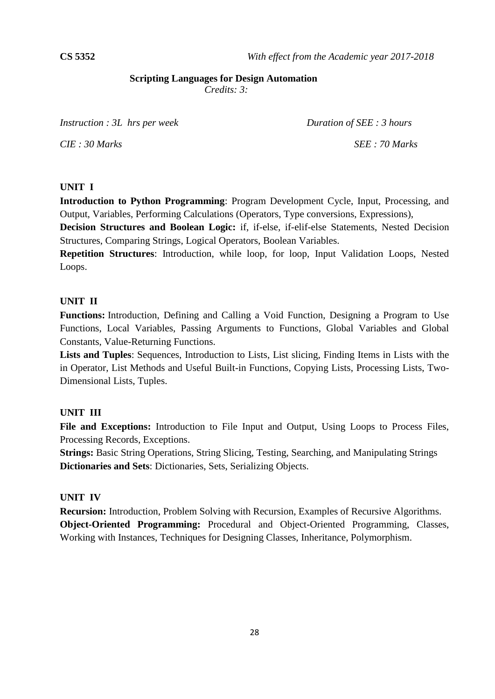# **Scripting Languages for Design Automation**

*Credits: 3:*

*Instruction : 3L hrs per week Duration of SEE : 3 hours* 

*CIE : 30 Marks SEE : 70 Marks*

#### **UNIT I**

**Introduction to Python Programming**: Program Development Cycle, Input, Processing, and Output, Variables, Performing Calculations (Operators, Type conversions, Expressions),

**Decision Structures and Boolean Logic:** if, if-else, if-elif-else Statements, Nested Decision Structures, Comparing Strings, Logical Operators, Boolean Variables.

**Repetition Structures**: Introduction, while loop, for loop, Input Validation Loops, Nested Loops.

# **UNIT II**

**Functions:** Introduction, Defining and Calling a Void Function, Designing a Program to Use Functions, Local Variables, Passing Arguments to Functions, Global Variables and Global Constants, Value-Returning Functions.

**Lists and Tuples**: Sequences, Introduction to Lists, List slicing, Finding Items in Lists with the in Operator, List Methods and Useful Built-in Functions, Copying Lists, Processing Lists, Two-Dimensional Lists, Tuples.

# **UNIT III**

**File and Exceptions:** Introduction to File Input and Output, Using Loops to Process Files, Processing Records, Exceptions.

**Strings:** Basic String Operations, String Slicing, Testing, Searching, and Manipulating Strings **Dictionaries and Sets**: Dictionaries, Sets, Serializing Objects.

# **UNIT IV**

**Recursion:** Introduction, Problem Solving with Recursion, Examples of Recursive Algorithms. **Object-Oriented Programming:** Procedural and Object-Oriented Programming, Classes, Working with Instances, Techniques for Designing Classes, Inheritance, Polymorphism.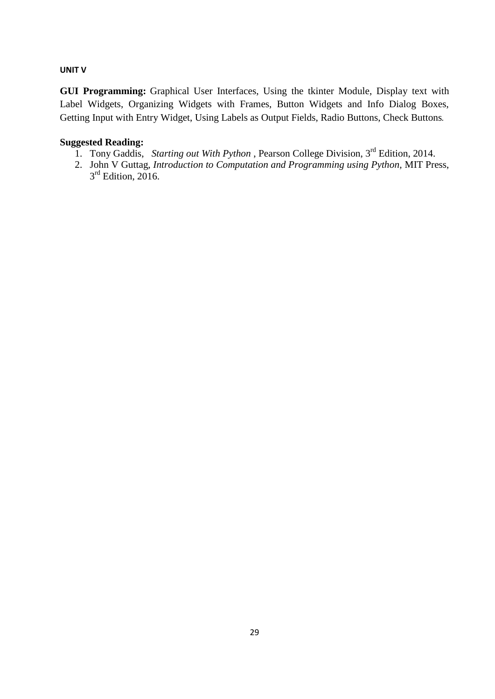#### **UNIT V**

**GUI Programming:** Graphical User Interfaces, Using the tkinter Module, Display text with Label Widgets, Organizing Widgets with Frames, Button Widgets and Info Dialog Boxes, Getting Input with Entry Widget, Using Labels as Output Fields, Radio Buttons, Check Buttons.

- 1. Tony Gaddis, Starting out With Python, Pearson College Division, 3<sup>rd</sup> Edition, 2014.
- 2. John V Guttag, *Introduction to Computation and Programming using Python,* MIT Press, 3<sup>rd</sup> Edition, 2016.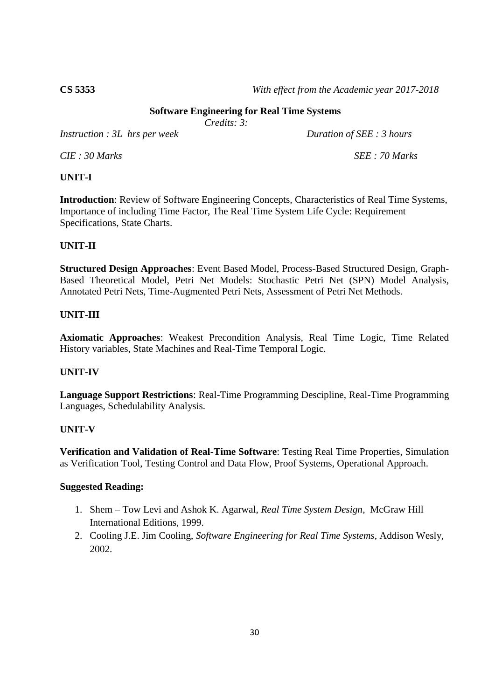**CS 5353** *With effect from the Academic year 2017-2018*

# **Software Engineering for Real Time Systems**

*Credits: 3:*

*Instruction : 3L hrs per week Duration of SEE : 3 hours* 

*CIE : 30 Marks SEE : 70 Marks*

#### **UNIT-I**

**Introduction**: Review of Software Engineering Concepts, Characteristics of Real Time Systems, Importance of including Time Factor, The Real Time System Life Cycle: Requirement Specifications, State Charts.

# **UNIT-II**

**Structured Design Approaches**: Event Based Model, Process-Based Structured Design, Graph-Based Theoretical Model, Petri Net Models: Stochastic Petri Net (SPN) Model Analysis, Annotated Petri Nets, Time-Augmented Petri Nets, Assessment of Petri Net Methods.

#### **UNIT-III**

**Axiomatic Approaches**: Weakest Precondition Analysis, Real Time Logic, Time Related History variables, State Machines and Real-Time Temporal Logic.

# **UNIT-IV**

**Language Support Restrictions**: Real-Time Programming Descipline, Real-Time Programming Languages, Schedulability Analysis.

#### **UNIT-V**

**Verification and Validation of Real-Time Software**: Testing Real Time Properties, Simulation as Verification Tool, Testing Control and Data Flow, Proof Systems, Operational Approach.

- 1. Shem Tow Levi and Ashok K. Agarwal, *Real Time System Design*, McGraw Hill International Editions, 1999.
- 2. Cooling J.E. Jim Cooling, *Software Engineering for Real Time Systems*, Addison Wesly, 2002.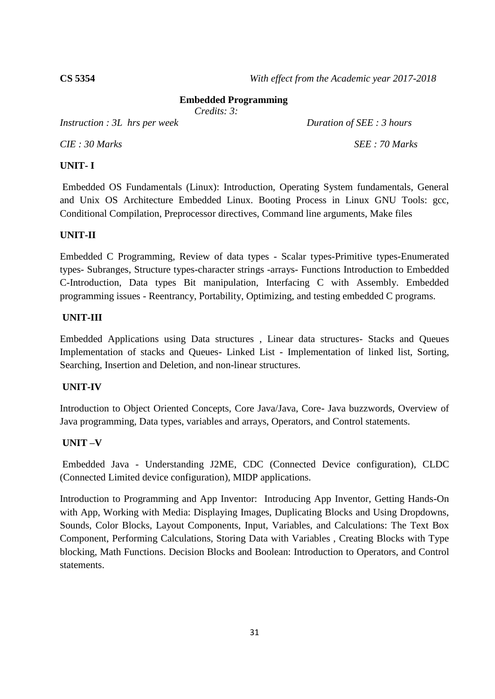#### **Embedded Programming**

*Credits: 3:*

*Instruction : 3L hrs per week Duration of SEE : 3 hours* 

*CIE : 30 Marks SEE : 70 Marks*

#### **UNIT- I**

Embedded OS Fundamentals (Linux): Introduction, Operating System fundamentals, General and Unix OS Architecture Embedded Linux. Booting Process in Linux GNU Tools: gcc, Conditional Compilation, Preprocessor directives, Command line arguments, Make files

#### **UNIT-II**

Embedded C Programming, Review of data types - Scalar types-Primitive types-Enumerated types- Subranges, Structure types-character strings -arrays- Functions Introduction to Embedded C-Introduction, Data types Bit manipulation, Interfacing C with Assembly. Embedded programming issues - Reentrancy, Portability, Optimizing, and testing embedded C programs.

#### **UNIT-III**

Embedded Applications using Data structures , Linear data structures- Stacks and Queues Implementation of stacks and Queues- Linked List - Implementation of linked list, Sorting, Searching, Insertion and Deletion, and non-linear structures.

#### **UNIT-IV**

Introduction to Object Oriented Concepts, Core Java/Java, Core- Java buzzwords, Overview of Java programming, Data types, variables and arrays, Operators, and Control statements.

#### **UNIT –V**

Embedded Java - Understanding J2ME, CDC (Connected Device configuration), CLDC (Connected Limited device configuration), MIDP applications.

Introduction to Programming and App Inventor: Introducing App Inventor, Getting Hands-On with App, Working with Media: Displaying Images, Duplicating Blocks and Using Dropdowns, Sounds, Color Blocks, Layout Components, Input, Variables, and Calculations: The Text Box Component, Performing Calculations, Storing Data with Variables , Creating Blocks with Type blocking, Math Functions. Decision Blocks and Boolean: Introduction to Operators, and Control statements.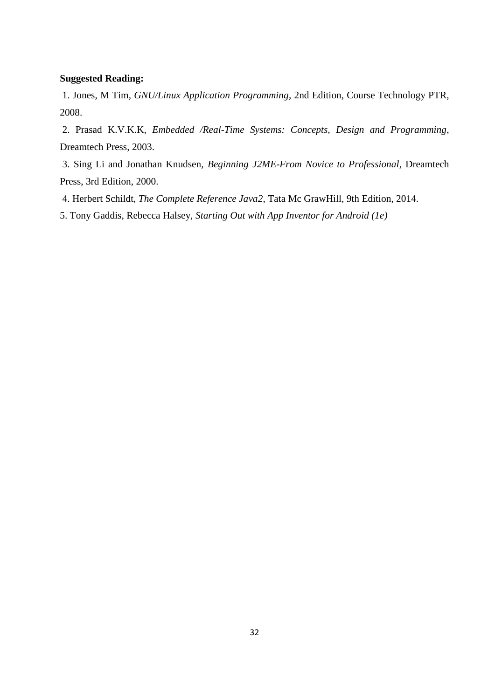#### **Suggested Reading:**

1. Jones, M Tim*, GNU/Linux Application Programming*, 2nd Edition, Course Technology PTR, 2008.

2. Prasad K.V.K.K, *Embedded /Real-Time Systems: Concepts, Design and Programming*, Dreamtech Press, 2003.

3. Sing Li and Jonathan Knudsen, *Beginning J2ME-From Novice to Professional*, Dreamtech Press, 3rd Edition, 2000.

- 4. Herbert Schildt, *The Complete Reference Java2*, Tata Mc GrawHill, 9th Edition, 2014.
- 5. Tony Gaddis, Rebecca Halsey, *Starting Out with App Inventor for Android (1e)*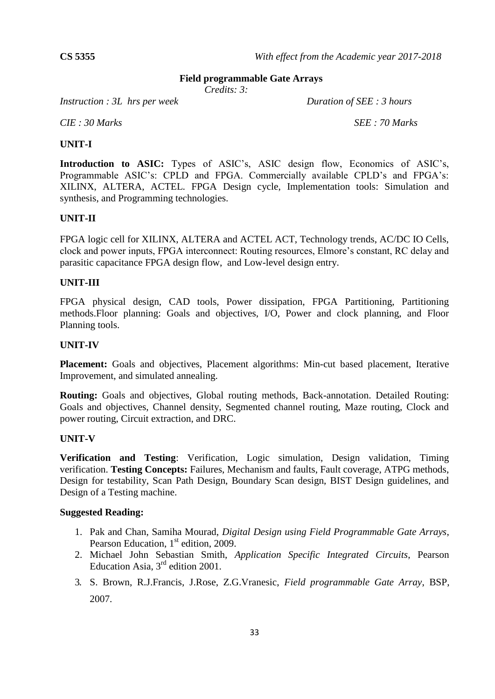#### **Field programmable Gate Arrays**

*Credits: 3:*

*Instruction : 3L hrs per week Duration of SEE : 3 hours* 

*CIE : 30 Marks SEE : 70 Marks*

#### **UNIT-I**

**Introduction to ASIC:** Types of ASIC's, ASIC design flow, Economics of ASIC's, Programmable ASIC's: CPLD and FPGA. Commercially available CPLD's and FPGA's: XILINX, ALTERA, ACTEL. FPGA Design cycle, Implementation tools: Simulation and synthesis, and Programming technologies.

#### **UNIT-II**

FPGA logic cell for XILINX, ALTERA and ACTEL ACT, Technology trends, AC/DC IO Cells, clock and power inputs, FPGA interconnect: Routing resources, Elmore's constant, RC delay and parasitic capacitance FPGA design flow, and Low-level design entry.

#### **UNIT-III**

FPGA physical design, CAD tools, Power dissipation, FPGA Partitioning, Partitioning methods.Floor planning: Goals and objectives, I/O, Power and clock planning, and Floor Planning tools.

#### **UNIT-IV**

Placement: Goals and objectives, Placement algorithms: Min-cut based placement, Iterative Improvement, and simulated annealing.

**Routing:** Goals and objectives, Global routing methods, Back-annotation. Detailed Routing: Goals and objectives, Channel density, Segmented channel routing, Maze routing, Clock and power routing, Circuit extraction, and DRC.

#### **UNIT-V**

**Verification and Testing**: Verification, Logic simulation, Design validation, Timing verification. **Testing Concepts:** Failures, Mechanism and faults, Fault coverage, ATPG methods, Design for testability, Scan Path Design, Boundary Scan design, BIST Design guidelines, and Design of a Testing machine.

- 1. Pak and Chan, Samiha Mourad, *Digital Design using Field Programmable Gate Arrays*, Pearson Education, 1<sup>st</sup> edition, 2009.
- 2. Michael John Sebastian Smith, *Application Specific Integrated Circuits*, Pearson Education Asia,  $3<sup>rd</sup>$  edition 2001.
- 3. S. Brown, R.J.Francis, J.Rose, Z.G.Vranesic, *Field programmable Gate Array*, BSP, 2007.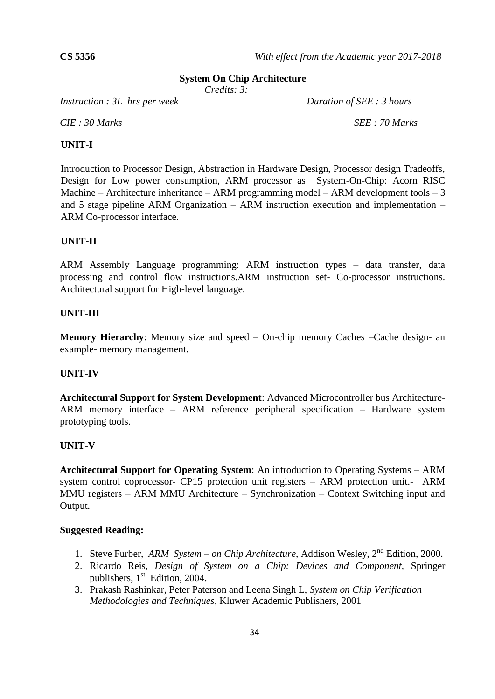#### **System On Chip Architecture**

*Credits: 3:*

*Instruction : 3L hrs per week Duration of SEE : 3 hours* 

*CIE : 30 Marks SEE : 70 Marks*

#### **UNIT-I**

Introduction to Processor Design, Abstraction in Hardware Design, Processor design Tradeoffs, Design for Low power consumption, ARM processor as System-On-Chip: Acorn RISC Machine – Architecture inheritance – ARM programming model – ARM development tools – 3 and 5 stage pipeline ARM Organization – ARM instruction execution and implementation – ARM Co-processor interface.

#### **UNIT-II**

ARM Assembly Language programming: ARM instruction types – data transfer, data processing and control flow instructions.ARM instruction set- Co-processor instructions. Architectural support for High-level language.

#### **UNIT-III**

**Memory Hierarchy**: Memory size and speed – On-chip memory Caches –Cache design- an example- memory management.

#### **UNIT-IV**

**Architectural Support for System Development**: Advanced Microcontroller bus Architecture-ARM memory interface – ARM reference peripheral specification – Hardware system prototyping tools.

#### **UNIT-V**

**Architectural Support for Operating System**: An introduction to Operating Systems – ARM system control coprocessor- CP15 protection unit registers – ARM protection unit.- ARM MMU registers – ARM MMU Architecture – Synchronization – Context Switching input and Output.

- 1. Steve Furber, *ARM System – on Chip Architecture*, Addison Wesley, 2nd Edition, 2000.
- 2. Ricardo Reis, *Design of System on a Chip: Devices and Component,* Springer publishers,  $1<sup>st</sup>$  Edition, 2004.
- 3. Prakash Rashinkar, Peter Paterson and Leena Singh L, *System on Chip Verification Methodologies and Techniques*, Kluwer Academic Publishers, 2001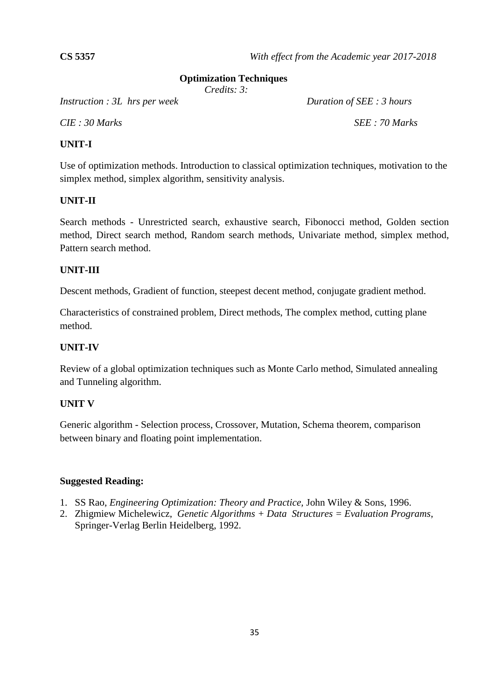#### **Optimization Techniques**

*Credits: 3:*

*Instruction : 3L hrs per week Duration of SEE : 3 hours* 

*CIE : 30 Marks SEE : 70 Marks*

# **UNIT-I**

Use of optimization methods. Introduction to classical optimization techniques, motivation to the simplex method, simplex algorithm, sensitivity analysis.

# **UNIT-II**

Search methods - Unrestricted search, exhaustive search, Fibonocci method, Golden section method, Direct search method, Random search methods, Univariate method, simplex method, Pattern search method.

#### **UNIT-III**

Descent methods, Gradient of function, steepest decent method, conjugate gradient method.

Characteristics of constrained problem, Direct methods, The complex method, cutting plane method.

# **UNIT-IV**

Review of a global optimization techniques such as Monte Carlo method, Simulated annealing and Tunneling algorithm.

#### **UNIT V**

Generic algorithm - Selection process, Crossover, Mutation, Schema theorem, comparison between binary and floating point implementation.

- 1. SS Rao, *Engineering Optimization: Theory and Practice,* John Wiley & Sons, 1996.
- 2. Zhigmiew Michelewicz, *Genetic Algorithms + Data Structures = Evaluation Programs*, Springer-Verlag Berlin Heidelberg, 1992.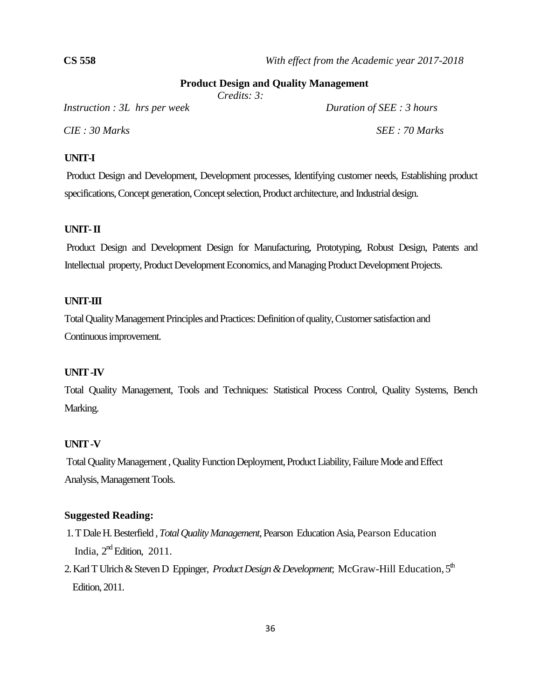#### **Product Design and Quality Management**

*Credits: 3:*

*Instruction : 3L hrs per week Duration of SEE : 3 hours*

*CIE : 30 Marks SEE : 70 Marks*

#### **UNIT-I**

Product Design and Development, Development processes, Identifying customer needs, Establishing product specifications, Concept generation, Concept selection, Product architecture, and Industrial design.

#### **UNIT-II**

Product Design and Development Design for Manufacturing, Prototyping, Robust Design, Patents and Intellectual property, Product Development Economics, and Managing Product Development Projects.

#### **UNIT-III**

Total Quality Management Principles and Practices: Definition of quality, Customer satisfaction and Continuous improvement.

#### **UNIT -IV**

Total Quality Management, Tools and Techniques: Statistical Process Control, Quality Systems, Bench Marking.

#### **UNIT -V**

Total Quality Management , Quality Function Deployment, Product Liability, Failure Mode and Effect Analysis, Management Tools.

- 1. T Dale H. Besterfield , *Total Quality Management*, Pearson Education Asia, Pearson Education India,  $2<sup>nd</sup>$  Edition, 2011.
- 2. Karl T Ulrich & Steven D Eppinger, *Product Design & Development*; McGraw-Hill Education, 5<sup>th</sup> Edition, 2011.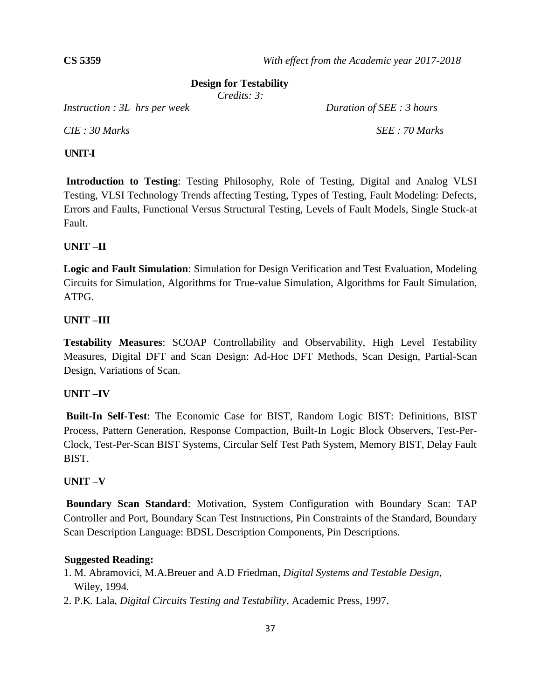#### **Design for Testability**

*Credits: 3:*

*Instruction : 3L hrs per week Duration of SEE : 3 hours*

*CIE : 30 Marks SEE : 70 Marks*

#### **UNIT-I**

**Introduction to Testing**: Testing Philosophy, Role of Testing, Digital and Analog VLSI Testing, VLSI Technology Trends affecting Testing, Types of Testing, Fault Modeling: Defects, Errors and Faults, Functional Versus Structural Testing, Levels of Fault Models, Single Stuck-at Fault.

# **UNIT –II**

**Logic and Fault Simulation**: Simulation for Design Verification and Test Evaluation, Modeling Circuits for Simulation, Algorithms for True-value Simulation, Algorithms for Fault Simulation, ATPG.

# **UNIT –III**

**Testability Measures**: SCOAP Controllability and Observability, High Level Testability Measures, Digital DFT and Scan Design: Ad-Hoc DFT Methods, Scan Design, Partial-Scan Design, Variations of Scan.

# **UNIT –IV**

**Built-In Self-Test**: The Economic Case for BIST, Random Logic BIST: Definitions, BIST Process, Pattern Generation, Response Compaction, Built-In Logic Block Observers, Test-Per-Clock, Test-Per-Scan BIST Systems, Circular Self Test Path System, Memory BIST, Delay Fault BIST.

# **UNIT –V**

**Boundary Scan Standard**: Motivation, System Configuration with Boundary Scan: TAP Controller and Port, Boundary Scan Test Instructions, Pin Constraints of the Standard, Boundary Scan Description Language: BDSL Description Components, Pin Descriptions.

- 1. M. Abramovici, M.A.Breuer and A.D Friedman, *Digital Systems and Testable Design*, Wiley, 1994.
- 2. P.K. Lala*, Digital Circuits Testing and Testability*, Academic Press, 1997.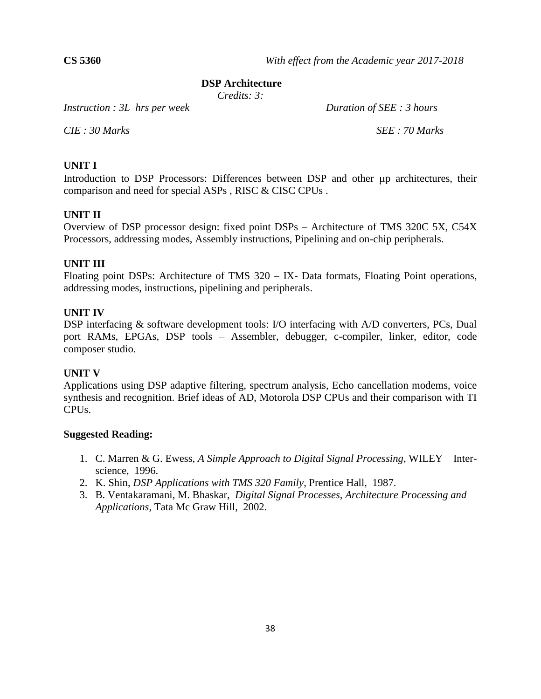#### **DSP Architecture**

*Credits: 3:*

*Instruction : 3L hrs per week Duration of SEE : 3 hours*

*CIE : 30 Marks SEE : 70 Marks*

#### **UNIT I**

Introduction to DSP Processors: Differences between DSP and other  $\mu$ p architectures, their comparison and need for special ASPs , RISC & CISC CPUs .

#### **UNIT II**

Overview of DSP processor design: fixed point DSPs – Architecture of TMS 320C 5X, C54X Processors, addressing modes, Assembly instructions, Pipelining and on-chip peripherals.

#### **UNIT III**

Floating point DSPs: Architecture of TMS 320 – IX- Data formats, Floating Point operations, addressing modes, instructions, pipelining and peripherals.

#### **UNIT IV**

DSP interfacing & software development tools: I/O interfacing with A/D converters, PCs, Dual port RAMs, EPGAs, DSP tools – Assembler, debugger, c-compiler, linker, editor, code composer studio.

#### **UNIT V**

Applications using DSP adaptive filtering, spectrum analysis, Echo cancellation modems, voice synthesis and recognition. Brief ideas of AD, Motorola DSP CPUs and their comparison with TI CPUs.

- 1. C. Marren & G. Ewess, *A Simple Approach to Digital Signal Processing*, WILEY Interscience, 1996.
- 2. K. Shin, *DSP Applications with TMS 320 Family*, Prentice Hall, 1987.
- 3. B. Ventakaramani, M. Bhaskar, *Digital Signal Processes, Architecture Processing and Applications*, Tata Mc Graw Hill, 2002.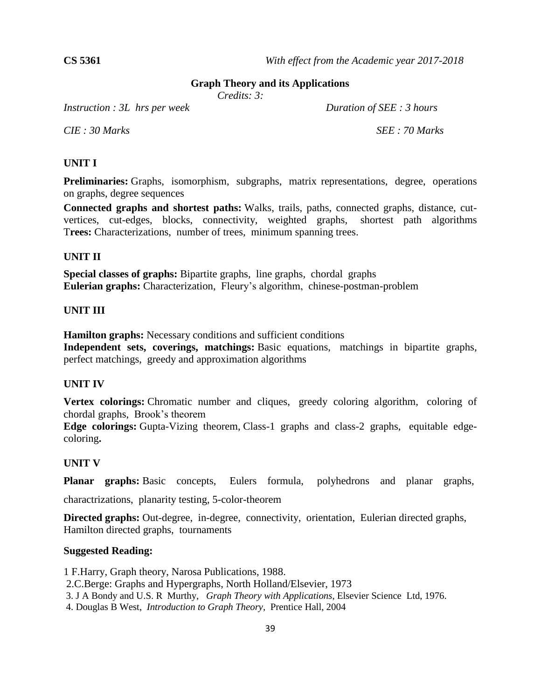#### **Graph Theory and its Applications**

*Credits: 3:*

*Instruction : 3L hrs per week Duration of SEE : 3 hours*

*CIE : 30 Marks SEE : 70 Marks*

#### **UNIT I**

**Preliminaries:** Graphs, isomorphism, subgraphs, matrix representations, degree, operations on graphs, degree sequences

**Connected graphs and shortest paths:** Walks, trails, paths, connected graphs, distance, cutvertices, cut-edges, blocks, connectivity, weighted graphs, shortest path algorithms T**rees:** Characterizations, number of trees, minimum spanning trees.

#### **UNIT II**

**Special classes of graphs:** Bipartite graphs, line graphs, chordal graphs **Eulerian graphs:** Characterization, Fleury's algorithm, chinese-postman-problem

#### **UNIT III**

**Hamilton graphs:** Necessary conditions and sufficient conditions

**Independent sets, coverings, matchings:** Basic equations, matchings in bipartite graphs, perfect matchings, greedy and approximation algorithms

#### **UNIT IV**

**Vertex colorings:** Chromatic number and cliques, greedy coloring algorithm, coloring of chordal graphs, Brook's theorem

**Edge colorings:** Gupta-Vizing theorem, Class-1 graphs and class-2 graphs, equitable edgecoloring**.**

#### **UNIT V**

**Planar graphs:** Basic concepts, Eulers formula, polyhedrons and planar graphs,

charactrizations, planarity testing, 5-color-theorem

**Directed graphs:** Out-degree, in-degree, connectivity, orientation, Eulerian directed graphs, Hamilton directed graphs, tournaments

#### **Suggested Reading:**

1 F.Harry, Graph theory, Narosa Publications, 1988.

2.C.Berge: Graphs and Hypergraphs, North Holland/Elsevier, 1973

3. J A Bondy and U.S. R Murthy, *Graph Theory with Applications*, Elsevier Science Ltd, 1976.

4. Douglas B West, *Introduction to Graph Theory,* Prentice Hall, 2004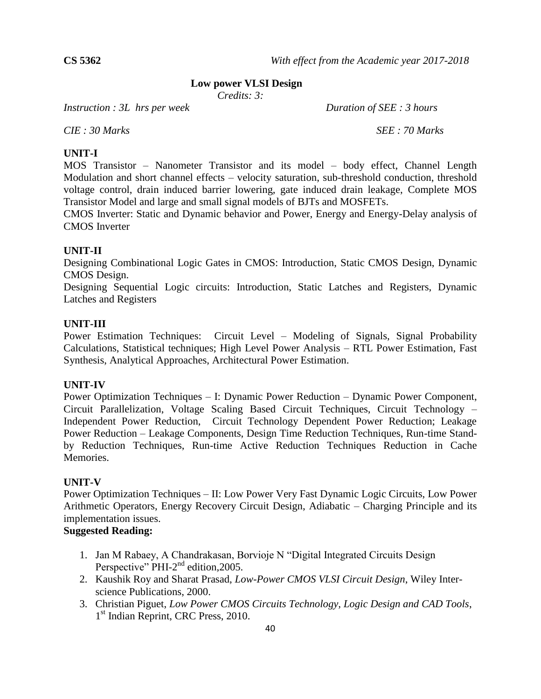#### **Low power VLSI Design**

*Credits: 3:*

*Instruction : 3L hrs per week Duration of SEE : 3 hours*

*CIE : 30 Marks SEE : 70 Marks*

#### **UNIT-I**

MOS Transistor – Nanometer Transistor and its model – body effect, Channel Length Modulation and short channel effects – velocity saturation, sub-threshold conduction, threshold voltage control, drain induced barrier lowering, gate induced drain leakage, Complete MOS Transistor Model and large and small signal models of BJTs and MOSFETs.

CMOS Inverter: Static and Dynamic behavior and Power, Energy and Energy-Delay analysis of CMOS Inverter

#### **UNIT-II**

Designing Combinational Logic Gates in CMOS: Introduction, Static CMOS Design, Dynamic CMOS Design.

Designing Sequential Logic circuits: Introduction, Static Latches and Registers, Dynamic Latches and Registers

#### **UNIT-III**

Power Estimation Techniques: Circuit Level – Modeling of Signals, Signal Probability Calculations, Statistical techniques; High Level Power Analysis – RTL Power Estimation, Fast Synthesis, Analytical Approaches, Architectural Power Estimation.

#### **UNIT-IV**

Power Optimization Techniques – I: Dynamic Power Reduction – Dynamic Power Component, Circuit Parallelization, Voltage Scaling Based Circuit Techniques, Circuit Technology – Independent Power Reduction, Circuit Technology Dependent Power Reduction; Leakage Power Reduction – Leakage Components, Design Time Reduction Techniques, Run-time Standby Reduction Techniques, Run-time Active Reduction Techniques Reduction in Cache Memories.

#### **UNIT-V**

Power Optimization Techniques – II: Low Power Very Fast Dynamic Logic Circuits, Low Power Arithmetic Operators, Energy Recovery Circuit Design, Adiabatic – Charging Principle and its implementation issues.

- 1. Jan M Rabaey, A Chandrakasan, Borvioje N "Digital Integrated Circuits Design Perspective"  $\text{PHI-2}^{\text{nd}}$  edition, 2005.
- 2. Kaushik Roy and Sharat Prasad, *Low-Power CMOS VLSI Circuit Design*, Wiley Interscience Publications, 2000.
- 3. Christian Piguet, *Low Power CMOS Circuits Technology, Logic Design and CAD Tools*, 1<sup>st</sup> Indian Reprint, CRC Press, 2010.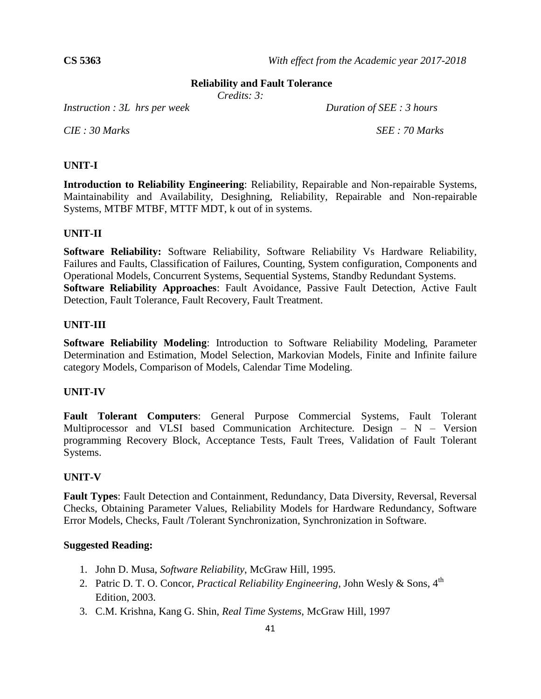#### **Reliability and Fault Tolerance**

*Credits: 3:*

*Instruction : 3L hrs per week Duration of SEE : 3 hours*

*CIE : 30 Marks SEE : 70 Marks*

#### **UNIT-I**

**Introduction to Reliability Engineering**: Reliability, Repairable and Non-repairable Systems, Maintainability and Availability, Desighning, Reliability, Repairable and Non-repairable Systems, MTBF MTBF, MTTF MDT, k out of in systems.

#### **UNIT-II**

**Software Reliability:** Software Reliability, Software Reliability Vs Hardware Reliability, Failures and Faults, Classification of Failures, Counting, System configuration, Components and Operational Models, Concurrent Systems, Sequential Systems, Standby Redundant Systems. **Software Reliability Approaches**: Fault Avoidance, Passive Fault Detection, Active Fault Detection, Fault Tolerance, Fault Recovery, Fault Treatment.

#### **UNIT-III**

**Software Reliability Modeling**: Introduction to Software Reliability Modeling, Parameter Determination and Estimation, Model Selection, Markovian Models, Finite and Infinite failure category Models, Comparison of Models, Calendar Time Modeling.

#### **UNIT-IV**

**Fault Tolerant Computers**: General Purpose Commercial Systems, Fault Tolerant Multiprocessor and VLSI based Communication Architecture. Design – N – Version programming Recovery Block, Acceptance Tests, Fault Trees, Validation of Fault Tolerant Systems.

#### **UNIT-V**

**Fault Types**: Fault Detection and Containment, Redundancy, Data Diversity, Reversal, Reversal Checks, Obtaining Parameter Values, Reliability Models for Hardware Redundancy, Software Error Models, Checks, Fault /Tolerant Synchronization, Synchronization in Software.

- 1. John D. Musa, *Software Reliability*, McGraw Hill, 1995.
- 2. Patric D. T. O. Concor, *Practical Reliability Engineering*, John Wesly & Sons, 4<sup>th</sup> Edition, 2003.
- 3. C.M. Krishna, Kang G. Shin, *Real Time Systems*, McGraw Hill, 1997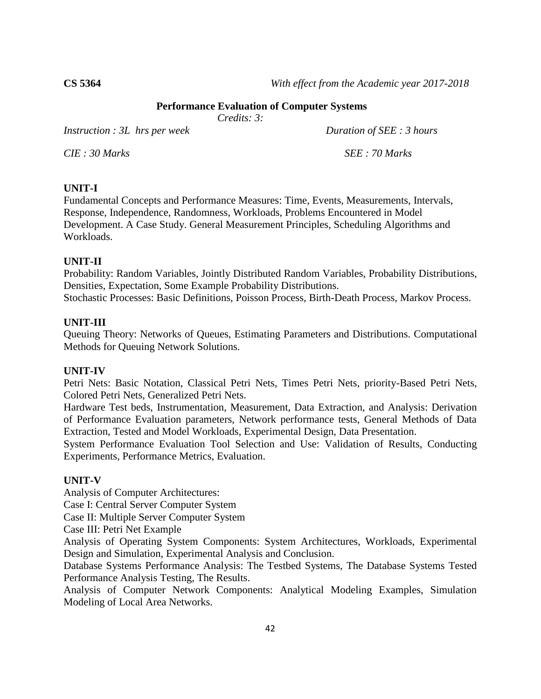**CS 5364** *With effect from the Academic year 2017-2018*

#### **Performance Evaluation of Computer Systems**

*Credits: 3:*

*Instruction : 3L hrs per week Duration of SEE : 3 hours* 

*CIE : 30 Marks SEE : 70 Marks*

# **UNIT-I**

Fundamental Concepts and Performance Measures: Time, Events, Measurements, Intervals, Response, Independence, Randomness, Workloads, Problems Encountered in Model Development. A Case Study. General Measurement Principles, Scheduling Algorithms and Workloads.

# **UNIT-II**

Probability: Random Variables, Jointly Distributed Random Variables, Probability Distributions, Densities, Expectation, Some Example Probability Distributions. Stochastic Processes: Basic Definitions, Poisson Process, Birth-Death Process, Markov Process.

#### **UNIT-III**

Queuing Theory: Networks of Queues, Estimating Parameters and Distributions. Computational Methods for Queuing Network Solutions.

#### **UNIT-IV**

Petri Nets: Basic Notation, Classical Petri Nets, Times Petri Nets, priority-Based Petri Nets, Colored Petri Nets, Generalized Petri Nets.

Hardware Test beds, Instrumentation, Measurement, Data Extraction, and Analysis: Derivation of Performance Evaluation parameters, Network performance tests, General Methods of Data Extraction, Tested and Model Workloads, Experimental Design, Data Presentation.

System Performance Evaluation Tool Selection and Use: Validation of Results, Conducting Experiments, Performance Metrics, Evaluation.

# **UNIT-V**

Analysis of Computer Architectures:

Case I: Central Server Computer System

Case II: Multiple Server Computer System

Case III: Petri Net Example

Analysis of Operating System Components: System Architectures, Workloads, Experimental Design and Simulation, Experimental Analysis and Conclusion.

Database Systems Performance Analysis: The Testbed Systems, The Database Systems Tested Performance Analysis Testing, The Results.

Analysis of Computer Network Components: Analytical Modeling Examples, Simulation Modeling of Local Area Networks.